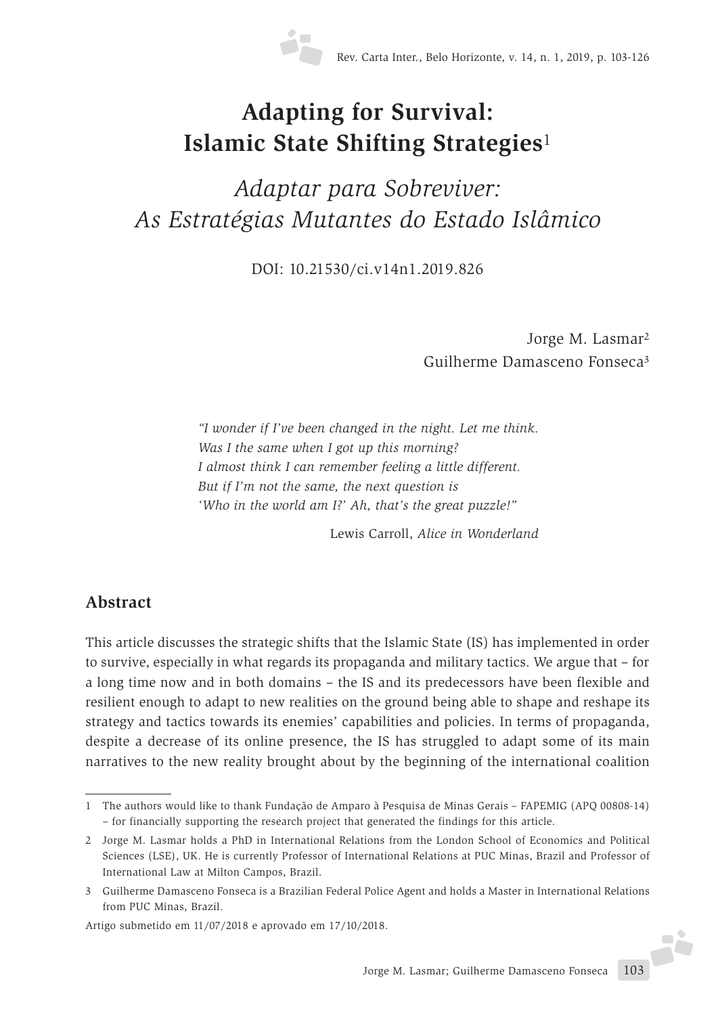

# **Adapting for Survival: Islamic State Shifting Strategies**<sup>1</sup>

*Adaptar para Sobreviver: As Estratégias Mutantes do Estado Islâmico*

DOI: 10.21530/ci.v14n1.2019.826

Jorge M. Lasmar2 Guilherme Damasceno Fonseca3

*"I wonder if I've been changed in the night. Let me think. Was I the same when I got up this morning? I almost think I can remember feeling a little different. But if I'm not the same, the next question is 'Who in the world am I?' Ah, that's the great puzzle!"*

Lewis Carroll, *Alice in Wonderland*

#### **Abstract**

This article discusses the strategic shifts that the Islamic State (IS) has implemented in order to survive, especially in what regards its propaganda and military tactics. We argue that – for a long time now and in both domains – the IS and its predecessors have been flexible and resilient enough to adapt to new realities on the ground being able to shape and reshape its strategy and tactics towards its enemies' capabilities and policies. In terms of propaganda, despite a decrease of its online presence, the IS has struggled to adapt some of its main narratives to the new reality brought about by the beginning of the international coalition

Artigo submetido em 11/07/2018 e aprovado em 17/10/2018.

<sup>1</sup> The authors would like to thank Fundação de Amparo à Pesquisa de Minas Gerais – FAPEMIG (APQ 00808-14) – for financially supporting the research project that generated the findings for this article.

<sup>2</sup> Jorge M. Lasmar holds a PhD in International Relations from the London School of Economics and Political Sciences (LSE), UK. He is currently Professor of International Relations at PUC Minas, Brazil and Professor of International Law at Milton Campos, Brazil.

<sup>3</sup> Guilherme Damasceno Fonseca is a Brazilian Federal Police Agent and holds a Master in International Relations from PUC Minas, Brazil.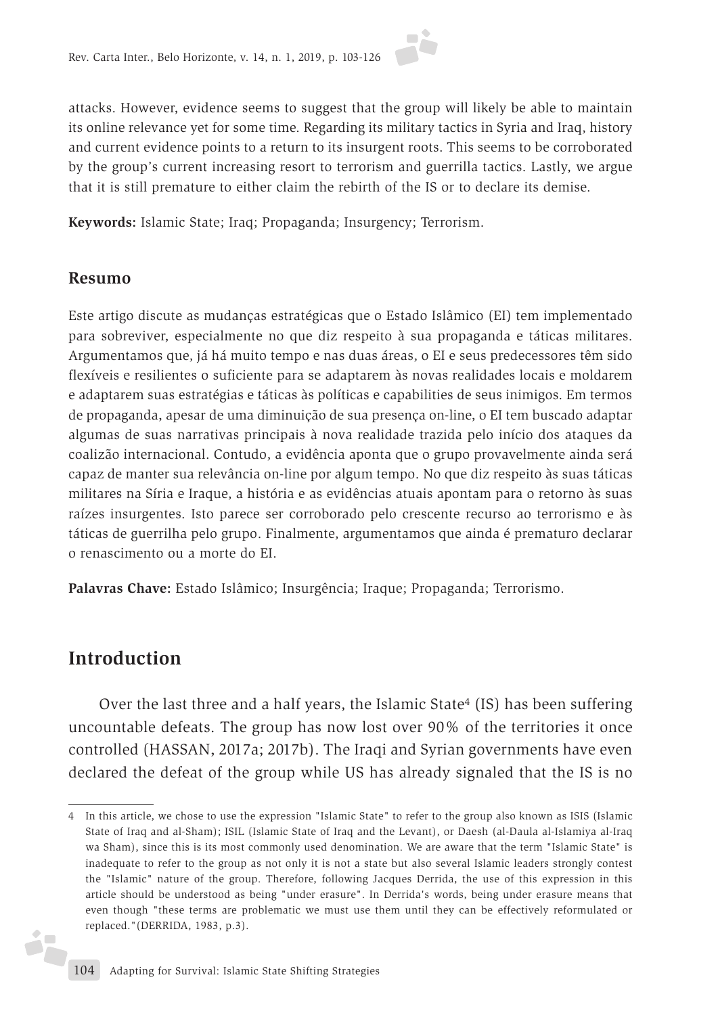attacks. However, evidence seems to suggest that the group will likely be able to maintain its online relevance yet for some time. Regarding its military tactics in Syria and Iraq, history and current evidence points to a return to its insurgent roots. This seems to be corroborated by the group's current increasing resort to terrorism and guerrilla tactics. Lastly, we argue that it is still premature to either claim the rebirth of the IS or to declare its demise.

**Keywords:** Islamic State; Iraq; Propaganda; Insurgency; Terrorism.

#### **Resumo**

Este artigo discute as mudanças estratégicas que o Estado Islâmico (EI) tem implementado para sobreviver, especialmente no que diz respeito à sua propaganda e táticas militares. Argumentamos que, já há muito tempo e nas duas áreas, o EI e seus predecessores têm sido flexíveis e resilientes o suficiente para se adaptarem às novas realidades locais e moldarem e adaptarem suas estratégias e táticas às políticas e capabilities de seus inimigos. Em termos de propaganda, apesar de uma diminuição de sua presença on-line, o EI tem buscado adaptar algumas de suas narrativas principais à nova realidade trazida pelo início dos ataques da coalizão internacional. Contudo, a evidência aponta que o grupo provavelmente ainda será capaz de manter sua relevância on-line por algum tempo. No que diz respeito às suas táticas militares na Síria e Iraque, a história e as evidências atuais apontam para o retorno às suas raízes insurgentes. Isto parece ser corroborado pelo crescente recurso ao terrorismo e às táticas de guerrilha pelo grupo. Finalmente, argumentamos que ainda é prematuro declarar o renascimento ou a morte do EI.

**Palavras Chave:** Estado Islâmico; Insurgência; Iraque; Propaganda; Terrorismo.

#### **Introduction**

ż.

Over the last three and a half years, the Islamic State4 (IS) has been suffering uncountable defeats. The group has now lost over 90% of the territories it once controlled (HASSAN, 2017a; 2017b). The Iraqi and Syrian governments have even declared the defeat of the group while US has already signaled that the IS is no

<sup>4</sup> In this article, we chose to use the expression "Islamic State" to refer to the group also known as ISIS (Islamic State of Iraq and al-Sham); ISIL (Islamic State of Iraq and the Levant), or Daesh (al-Daula al-Islamiya al-Iraq wa Sham), since this is its most commonly used denomination. We are aware that the term "Islamic State" is inadequate to refer to the group as not only it is not a state but also several Islamic leaders strongly contest the "Islamic" nature of the group. Therefore, following Jacques Derrida, the use of this expression in this article should be understood as being "under erasure". In Derrida's words, being under erasure means that even though "these terms are problematic we must use them until they can be effectively reformulated or replaced."(DERRIDA, 1983, p.3).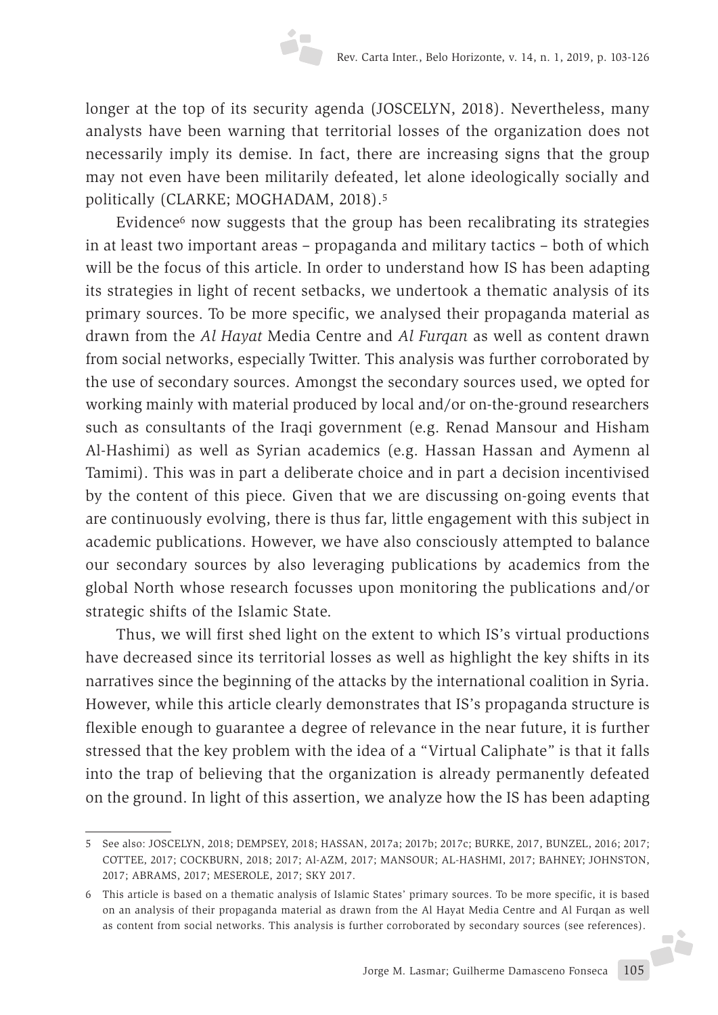longer at the top of its security agenda (JOSCELYN, 2018). Nevertheless, many analysts have been warning that territorial losses of the organization does not necessarily imply its demise. In fact, there are increasing signs that the group may not even have been militarily defeated, let alone ideologically socially and politically (CLARKE; MOGHADAM, 2018).5

Evidence $6$  now suggests that the group has been recalibrating its strategies in at least two important areas – propaganda and military tactics – both of which will be the focus of this article. In order to understand how IS has been adapting its strategies in light of recent setbacks, we undertook a thematic analysis of its primary sources. To be more specific, we analysed their propaganda material as drawn from the *Al Hayat* Media Centre and *Al Furqan* as well as content drawn from social networks, especially Twitter. This analysis was further corroborated by the use of secondary sources. Amongst the secondary sources used, we opted for working mainly with material produced by local and/or on-the-ground researchers such as consultants of the Iraqi government (e.g. Renad Mansour and Hisham Al-Hashimi) as well as Syrian academics (e.g. Hassan Hassan and Aymenn al Tamimi). This was in part a deliberate choice and in part a decision incentivised by the content of this piece. Given that we are discussing on-going events that are continuously evolving, there is thus far, little engagement with this subject in academic publications. However, we have also consciously attempted to balance our secondary sources by also leveraging publications by academics from the global North whose research focusses upon monitoring the publications and/or strategic shifts of the Islamic State.

Thus, we will first shed light on the extent to which IS's virtual productions have decreased since its territorial losses as well as highlight the key shifts in its narratives since the beginning of the attacks by the international coalition in Syria. However, while this article clearly demonstrates that IS's propaganda structure is flexible enough to guarantee a degree of relevance in the near future, it is further stressed that the key problem with the idea of a "Virtual Caliphate" is that it falls into the trap of believing that the organization is already permanently defeated on the ground. In light of this assertion, we analyze how the IS has been adapting

<sup>5</sup> See also: JOSCELYN, 2018; DEMPSEY, 2018; HASSAN, 2017a; 2017b; 2017c; BURKE, 2017, BUNZEL, 2016; 2017; COTTEE, 2017; COCKBURN, 2018; 2017; Al-AZM, 2017; MANSOUR; AL-HASHMI, 2017; BAHNEY; JOHNSTON, 2017; ABRAMS, 2017; MESEROLE, 2017; SKY 2017.

<sup>6</sup> This article is based on a thematic analysis of Islamic States' primary sources. To be more specific, it is based on an analysis of their propaganda material as drawn from the Al Hayat Media Centre and Al Furqan as well as content from social networks. This analysis is further corroborated by secondary sources (see references).J.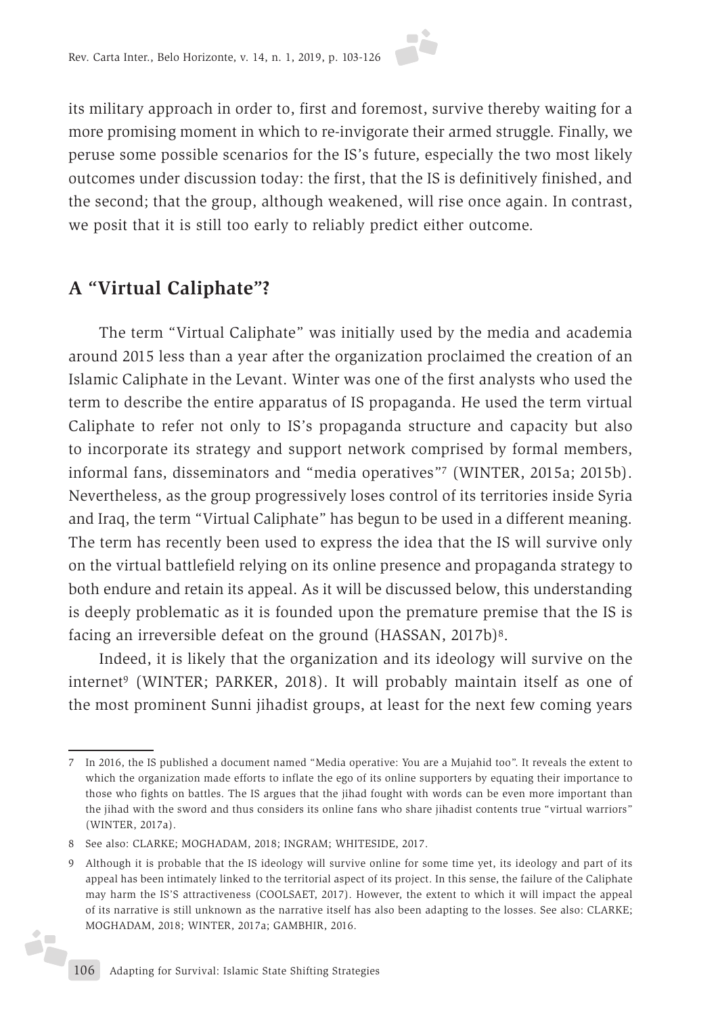its military approach in order to, first and foremost, survive thereby waiting for a more promising moment in which to re-invigorate their armed struggle. Finally, we peruse some possible scenarios for the IS's future, especially the two most likely outcomes under discussion today: the first, that the IS is definitively finished, and the second; that the group, although weakened, will rise once again. In contrast, we posit that it is still too early to reliably predict either outcome.

### **A "Virtual Caliphate"?**

The term "Virtual Caliphate" was initially used by the media and academia around 2015 less than a year after the organization proclaimed the creation of an Islamic Caliphate in the Levant. Winter was one of the first analysts who used the term to describe the entire apparatus of IS propaganda. He used the term virtual Caliphate to refer not only to IS's propaganda structure and capacity but also to incorporate its strategy and support network comprised by formal members, informal fans, disseminators and "media operatives"7 (WINTER, 2015a; 2015b). Nevertheless, as the group progressively loses control of its territories inside Syria and Iraq, the term "Virtual Caliphate" has begun to be used in a different meaning. The term has recently been used to express the idea that the IS will survive only on the virtual battlefield relying on its online presence and propaganda strategy to both endure and retain its appeal. As it will be discussed below, this understanding is deeply problematic as it is founded upon the premature premise that the IS is facing an irreversible defeat on the ground (HASSAN, 2017b)<sup>8</sup>.

Indeed, it is likely that the organization and its ideology will survive on the internet<sup>9</sup> (WINTER; PARKER, 2018). It will probably maintain itself as one of the most prominent Sunni jihadist groups, at least for the next few coming years

é<sub>r</sub>

<sup>7</sup> In 2016, the IS published a document named "Media operative: You are a Mujahid too". It reveals the extent to which the organization made efforts to inflate the ego of its online supporters by equating their importance to those who fights on battles. The IS argues that the jihad fought with words can be even more important than the jihad with the sword and thus considers its online fans who share jihadist contents true "virtual warriors" (WINTER, 2017a).

<sup>8</sup> See also: CLARKE; MOGHADAM, 2018; INGRAM; WHITESIDE, 2017.

<sup>9</sup> Although it is probable that the IS ideology will survive online for some time yet, its ideology and part of its appeal has been intimately linked to the territorial aspect of its project. In this sense, the failure of the Caliphate may harm the IS'S attractiveness (COOLSAET, 2017). However, the extent to which it will impact the appeal of its narrative is still unknown as the narrative itself has also been adapting to the losses. See also: CLARKE; MOGHADAM, 2018; WINTER, 2017a; GAMBHIR, 2016.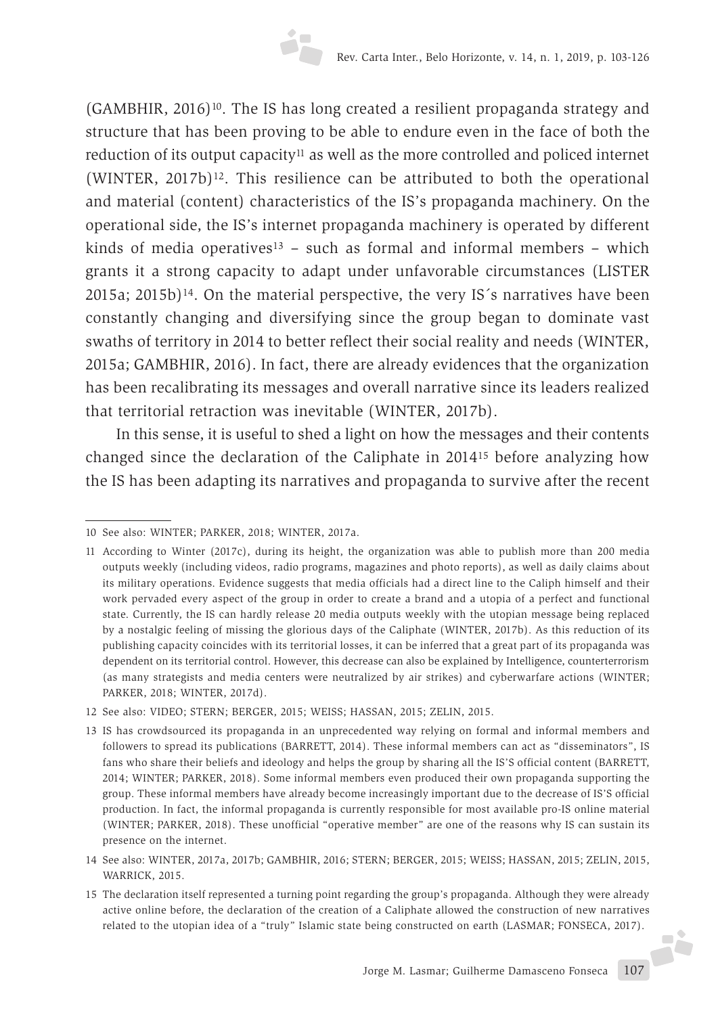$(GAMBHIR, 2016)^{10}$ . The IS has long created a resilient propaganda strategy and structure that has been proving to be able to endure even in the face of both the reduction of its output capacity<sup>11</sup> as well as the more controlled and policed internet  $(WINTER, 2017b)^{12}$ . This resilience can be attributed to both the operational and material (content) characteristics of the IS's propaganda machinery. On the operational side, the IS's internet propaganda machinery is operated by different kinds of media operatives<sup>13</sup> – such as formal and informal members – which grants it a strong capacity to adapt under unfavorable circumstances (LISTER 2015a; 2015b)14. On the material perspective, the very IS´s narratives have been constantly changing and diversifying since the group began to dominate vast swaths of territory in 2014 to better reflect their social reality and needs (WINTER, 2015a; GAMBHIR, 2016). In fact, there are already evidences that the organization has been recalibrating its messages and overall narrative since its leaders realized that territorial retraction was inevitable (WINTER, 2017b).

In this sense, it is useful to shed a light on how the messages and their contents changed since the declaration of the Caliphate in 201415 before analyzing how the IS has been adapting its narratives and propaganda to survive after the recent

<sup>10</sup> See also: WINTER; PARKER, 2018; WINTER, 2017a.

<sup>11</sup> According to Winter (2017c), during its height, the organization was able to publish more than 200 media outputs weekly (including videos, radio programs, magazines and photo reports), as well as daily claims about its military operations. Evidence suggests that media officials had a direct line to the Caliph himself and their work pervaded every aspect of the group in order to create a brand and a utopia of a perfect and functional state. Currently, the IS can hardly release 20 media outputs weekly with the utopian message being replaced by a nostalgic feeling of missing the glorious days of the Caliphate (WINTER, 2017b). As this reduction of its publishing capacity coincides with its territorial losses, it can be inferred that a great part of its propaganda was dependent on its territorial control. However, this decrease can also be explained by Intelligence, counterterrorism (as many strategists and media centers were neutralized by air strikes) and cyberwarfare actions (WINTER; PARKER, 2018; WINTER, 2017d).

<sup>12</sup> See also: VIDEO; STERN; BERGER, 2015; WEISS; HASSAN, 2015; ZELIN, 2015.

<sup>13</sup> IS has crowdsourced its propaganda in an unprecedented way relying on formal and informal members and followers to spread its publications (BARRETT, 2014). These informal members can act as "disseminators", IS fans who share their beliefs and ideology and helps the group by sharing all the IS'S official content (BARRETT, 2014; WINTER; PARKER, 2018). Some informal members even produced their own propaganda supporting the group. These informal members have already become increasingly important due to the decrease of IS'S official production. In fact, the informal propaganda is currently responsible for most available pro-IS online material (WINTER; PARKER, 2018). These unofficial "operative member" are one of the reasons why IS can sustain its presence on the internet.

<sup>14</sup> See also: WINTER, 2017a, 2017b; GAMBHIR, 2016; STERN; BERGER, 2015; WEISS; HASSAN, 2015; ZELIN, 2015, WARRICK, 2015.

<sup>15</sup> The declaration itself represented a turning point regarding the group's propaganda. Although they were already active online before, the declaration of the creation of a Caliphate allowed the construction of new narratives related to the utopian idea of a "truly" Islamic state being constructed on earth (LASMAR; FONSECA, 2017).J.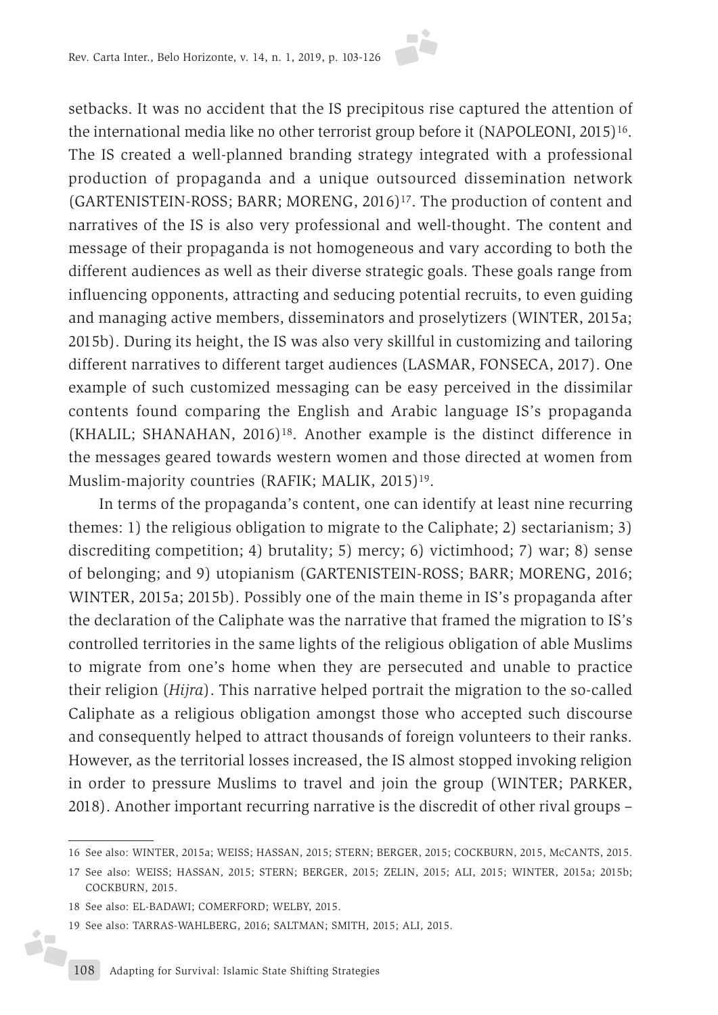

In terms of the propaganda's content, one can identify at least nine recurring themes: 1) the religious obligation to migrate to the Caliphate; 2) sectarianism; 3) discrediting competition; 4) brutality; 5) mercy; 6) victimhood; 7) war; 8) sense of belonging; and 9) utopianism (GARTENISTEIN-ROSS; BARR; MORENG, 2016; WINTER, 2015a; 2015b). Possibly one of the main theme in IS's propaganda after the declaration of the Caliphate was the narrative that framed the migration to IS's controlled territories in the same lights of the religious obligation of able Muslims to migrate from one's home when they are persecuted and unable to practice their religion (*Hijra*). This narrative helped portrait the migration to the so-called Caliphate as a religious obligation amongst those who accepted such discourse and consequently helped to attract thousands of foreign volunteers to their ranks. However, as the territorial losses increased, the IS almost stopped invoking religion in order to pressure Muslims to travel and join the group (WINTER; PARKER, 2018). Another important recurring narrative is the discredit of other rival groups –

ó.

<sup>16</sup> See also: WINTER, 2015a; WEISS; HASSAN, 2015; STERN; BERGER, 2015; COCKBURN, 2015, McCANTS, 2015.

<sup>17</sup> See also: WEISS; HASSAN, 2015; STERN; BERGER, 2015; ZELIN, 2015; ALI, 2015; WINTER, 2015a; 2015b; COCKBURN, 2015.

<sup>18</sup> See also: EL-BADAWI; COMERFORD; WELBY, 2015.

<sup>19</sup> See also: TARRAS-WAHLBERG, 2016; SALTMAN; SMITH, 2015; ALI, 2015.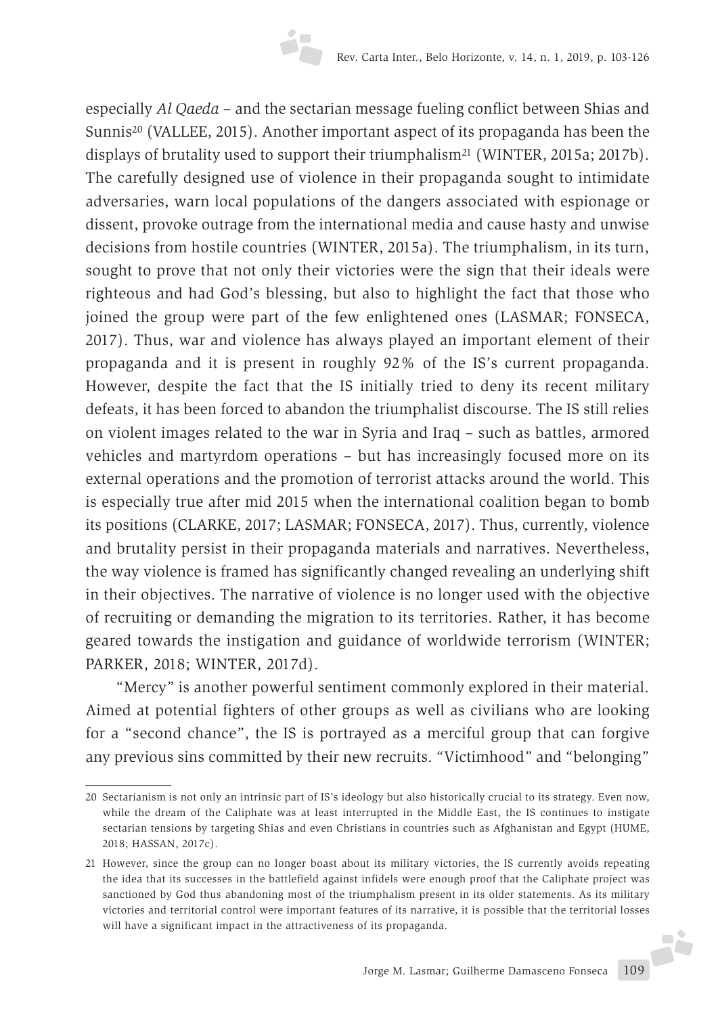especially *Al Qaeda* – and the sectarian message fueling conflict between Shias and Sunnis20 (VALLEE, 2015). Another important aspect of its propaganda has been the displays of brutality used to support their triumphalism<sup>21</sup> (WINTER, 2015a; 2017b). The carefully designed use of violence in their propaganda sought to intimidate adversaries, warn local populations of the dangers associated with espionage or dissent, provoke outrage from the international media and cause hasty and unwise decisions from hostile countries (WINTER, 2015a). The triumphalism, in its turn, sought to prove that not only their victories were the sign that their ideals were righteous and had God's blessing, but also to highlight the fact that those who joined the group were part of the few enlightened ones (LASMAR; FONSECA, 2017). Thus, war and violence has always played an important element of their propaganda and it is present in roughly 92% of the IS's current propaganda. However, despite the fact that the IS initially tried to deny its recent military defeats, it has been forced to abandon the triumphalist discourse. The IS still relies on violent images related to the war in Syria and Iraq – such as battles, armored vehicles and martyrdom operations – but has increasingly focused more on its external operations and the promotion of terrorist attacks around the world. This is especially true after mid 2015 when the international coalition began to bomb its positions (CLARKE, 2017; LASMAR; FONSECA, 2017). Thus, currently, violence and brutality persist in their propaganda materials and narratives. Nevertheless, the way violence is framed has significantly changed revealing an underlying shift in their objectives. The narrative of violence is no longer used with the objective of recruiting or demanding the migration to its territories. Rather, it has become geared towards the instigation and guidance of worldwide terrorism (WINTER; PARKER, 2018; WINTER, 2017d).

"Mercy" is another powerful sentiment commonly explored in their material. Aimed at potential fighters of other groups as well as civilians who are looking for a "second chance", the IS is portrayed as a merciful group that can forgive any previous sins committed by their new recruits. "Victimhood" and "belonging"

<sup>20</sup> Sectarianism is not only an intrinsic part of IS's ideology but also historically crucial to its strategy. Even now, while the dream of the Caliphate was at least interrupted in the Middle East, the IS continues to instigate sectarian tensions by targeting Shias and even Christians in countries such as Afghanistan and Egypt (HUME, 2018; HASSAN, 2017c).

Jorge M. Lasmar; Guilherme Damasceno Fonseca 109 21 However, since the group can no longer boast about its military victories, the IS currently avoids repeating the idea that its successes in the battlefield against infidels were enough proof that the Caliphate project was sanctioned by God thus abandoning most of the triumphalism present in its older statements. As its military victories and territorial control were important features of its narrative, it is possible that the territorial losses will have a significant impact in the attractiveness of its propaganda.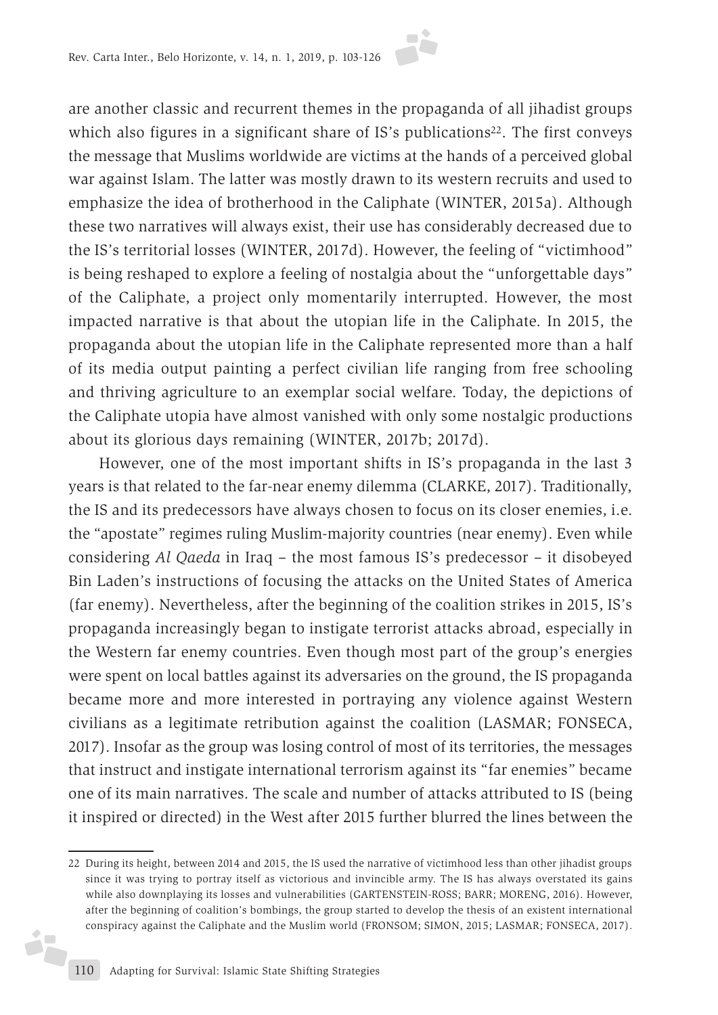are another classic and recurrent themes in the propaganda of all jihadist groups which also figures in a significant share of IS's publications<sup>22</sup>. The first conveys the message that Muslims worldwide are victims at the hands of a perceived global war against Islam. The latter was mostly drawn to its western recruits and used to emphasize the idea of brotherhood in the Caliphate (WINTER, 2015a). Although these two narratives will always exist, their use has considerably decreased due to the IS's territorial losses (WINTER, 2017d). However, the feeling of "victimhood" is being reshaped to explore a feeling of nostalgia about the "unforgettable days" of the Caliphate, a project only momentarily interrupted. However, the most impacted narrative is that about the utopian life in the Caliphate. In 2015, the propaganda about the utopian life in the Caliphate represented more than a half of its media output painting a perfect civilian life ranging from free schooling and thriving agriculture to an exemplar social welfare. Today, the depictions of the Caliphate utopia have almost vanished with only some nostalgic productions about its glorious days remaining (WINTER, 2017b; 2017d).

However, one of the most important shifts in IS's propaganda in the last 3 years is that related to the far-near enemy dilemma (CLARKE, 2017). Traditionally, the IS and its predecessors have always chosen to focus on its closer enemies, i.e. the "apostate" regimes ruling Muslim-majority countries (near enemy). Even while considering *Al Qaeda* in Iraq – the most famous IS's predecessor – it disobeyed Bin Laden's instructions of focusing the attacks on the United States of America (far enemy). Nevertheless, after the beginning of the coalition strikes in 2015, IS's propaganda increasingly began to instigate terrorist attacks abroad, especially in the Western far enemy countries. Even though most part of the group's energies were spent on local battles against its adversaries on the ground, the IS propaganda became more and more interested in portraying any violence against Western civilians as a legitimate retribution against the coalition (LASMAR; FONSECA, 2017). Insofar as the group was losing control of most of its territories, the messages that instruct and instigate international terrorism against its "far enemies" became one of its main narratives. The scale and number of attacks attributed to IS (being it inspired or directed) in the West after 2015 further blurred the lines between the

j.

<sup>22</sup> During its height, between 2014 and 2015, the IS used the narrative of victimhood less than other jihadist groups since it was trying to portray itself as victorious and invincible army. The IS has always overstated its gains while also downplaying its losses and vulnerabilities (GARTENSTEIN-ROSS; BARR; MORENG, 2016). However, after the beginning of coalition's bombings, the group started to develop the thesis of an existent international conspiracy against the Caliphate and the Muslim world (FRONSOM; SIMON, 2015; LASMAR; FONSECA, 2017).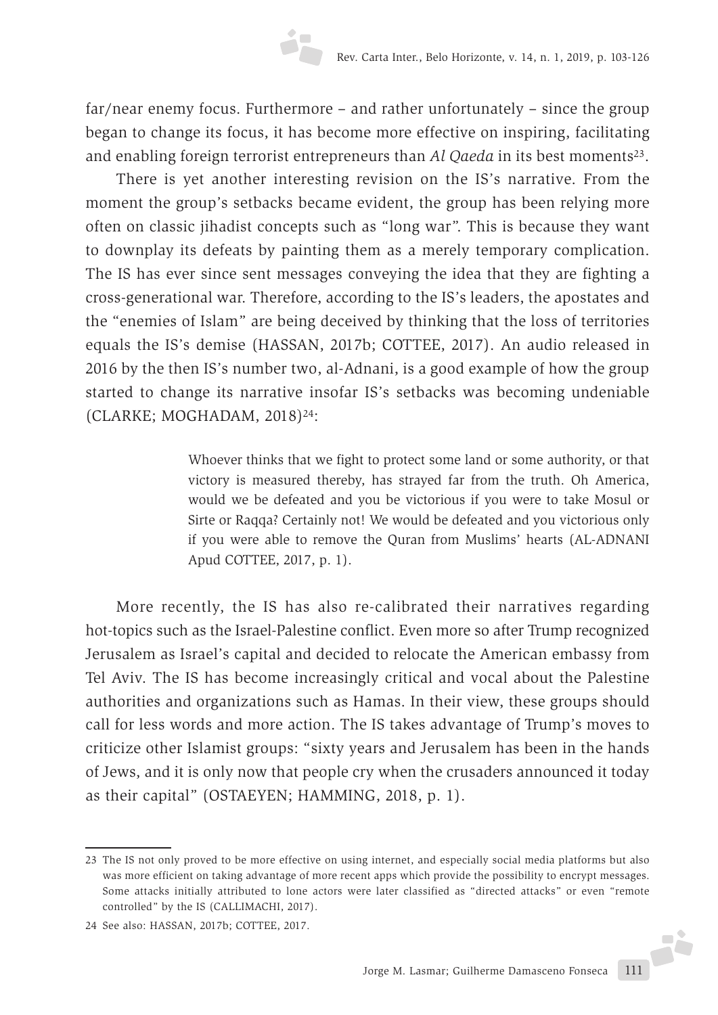far/near enemy focus. Furthermore – and rather unfortunately – since the group began to change its focus, it has become more effective on inspiring, facilitating and enabling foreign terrorist entrepreneurs than *Al Qaeda* in its best moments<sup>23</sup>.

There is yet another interesting revision on the IS's narrative. From the moment the group's setbacks became evident, the group has been relying more often on classic jihadist concepts such as "long war". This is because they want to downplay its defeats by painting them as a merely temporary complication. The IS has ever since sent messages conveying the idea that they are fighting a cross-generational war. Therefore, according to the IS's leaders, the apostates and the "enemies of Islam" are being deceived by thinking that the loss of territories equals the IS's demise (HASSAN, 2017b; COTTEE, 2017). An audio released in 2016 by the then IS's number two, al-Adnani, is a good example of how the group started to change its narrative insofar IS's setbacks was becoming undeniable (CLARKE; MOGHADAM, 2018)24:

> Whoever thinks that we fight to protect some land or some authority, or that victory is measured thereby, has strayed far from the truth. Oh America, would we be defeated and you be victorious if you were to take Mosul or Sirte or Raqqa? Certainly not! We would be defeated and you victorious only if you were able to remove the Quran from Muslims' hearts (AL-ADNANI Apud COTTEE, 2017, p. 1).

More recently, the IS has also re-calibrated their narratives regarding hot-topics such as the Israel-Palestine conflict. Even more so after Trump recognized Jerusalem as Israel's capital and decided to relocate the American embassy from Tel Aviv. The IS has become increasingly critical and vocal about the Palestine authorities and organizations such as Hamas. In their view, these groups should call for less words and more action. The IS takes advantage of Trump's moves to criticize other Islamist groups: "sixty years and Jerusalem has been in the hands of Jews, and it is only now that people cry when the crusaders announced it today as their capital" (OSTAEYEN; HAMMING, 2018, p. 1).

<sup>23</sup> The IS not only proved to be more effective on using internet, and especially social media platforms but also was more efficient on taking advantage of more recent apps which provide the possibility to encrypt messages. Some attacks initially attributed to lone actors were later classified as "directed attacks" or even "remote controlled" by the IS (CALLIMACHI, 2017).

<sup>24</sup> See also: HASSAN, 2017b; COTTEE, 2017.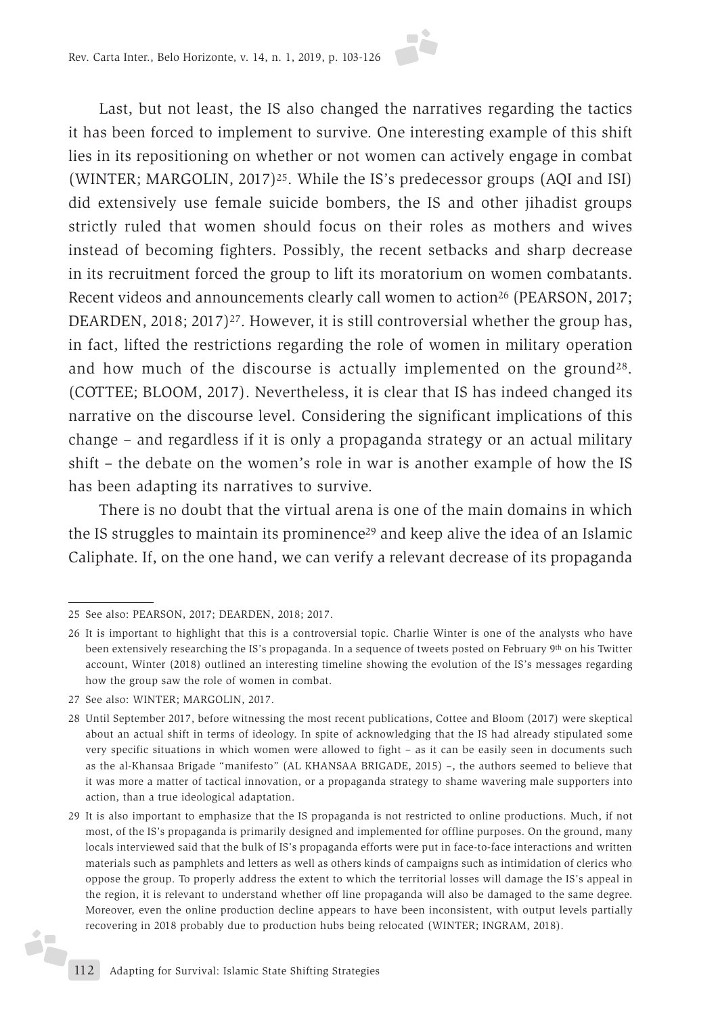Last, but not least, the IS also changed the narratives regarding the tactics it has been forced to implement to survive. One interesting example of this shift lies in its repositioning on whether or not women can actively engage in combat (WINTER; MARGOLIN, 2017)25. While the IS's predecessor groups (AQI and ISI) did extensively use female suicide bombers, the IS and other jihadist groups strictly ruled that women should focus on their roles as mothers and wives instead of becoming fighters. Possibly, the recent setbacks and sharp decrease in its recruitment forced the group to lift its moratorium on women combatants. Recent videos and announcements clearly call women to action<sup>26</sup> (PEARSON, 2017; DEARDEN, 2018; 2017)<sup>27</sup>. However, it is still controversial whether the group has, in fact, lifted the restrictions regarding the role of women in military operation and how much of the discourse is actually implemented on the ground<sup>28</sup>. (COTTEE; BLOOM, 2017). Nevertheless, it is clear that IS has indeed changed its narrative on the discourse level. Considering the significant implications of this change – and regardless if it is only a propaganda strategy or an actual military shift – the debate on the women's role in war is another example of how the IS has been adapting its narratives to survive.

There is no doubt that the virtual arena is one of the main domains in which the IS struggles to maintain its prominence29 and keep alive the idea of an Islamic Caliphate. If, on the one hand, we can verify a relevant decrease of its propaganda

27 See also: WINTER; MARGOLIN, 2017.

i7

<sup>25</sup> See also: PEARSON, 2017; DEARDEN, 2018; 2017.

<sup>26</sup> It is important to highlight that this is a controversial topic. Charlie Winter is one of the analysts who have been extensively researching the IS's propaganda. In a sequence of tweets posted on February 9th on his Twitter account, Winter (2018) outlined an interesting timeline showing the evolution of the IS's messages regarding how the group saw the role of women in combat.

<sup>28</sup> Until September 2017, before witnessing the most recent publications, Cottee and Bloom (2017) were skeptical about an actual shift in terms of ideology. In spite of acknowledging that the IS had already stipulated some very specific situations in which women were allowed to fight – as it can be easily seen in documents such as the al-Khansaa Brigade "manifesto" (AL KHANSAA BRIGADE, 2015) –, the authors seemed to believe that it was more a matter of tactical innovation, or a propaganda strategy to shame wavering male supporters into action, than a true ideological adaptation.

<sup>29</sup> It is also important to emphasize that the IS propaganda is not restricted to online productions. Much, if not most, of the IS's propaganda is primarily designed and implemented for offline purposes. On the ground, many locals interviewed said that the bulk of IS's propaganda efforts were put in face-to-face interactions and written materials such as pamphlets and letters as well as others kinds of campaigns such as intimidation of clerics who oppose the group. To properly address the extent to which the territorial losses will damage the IS's appeal in the region, it is relevant to understand whether off line propaganda will also be damaged to the same degree. Moreover, even the online production decline appears to have been inconsistent, with output levels partially recovering in 2018 probably due to production hubs being relocated (WINTER; INGRAM, 2018).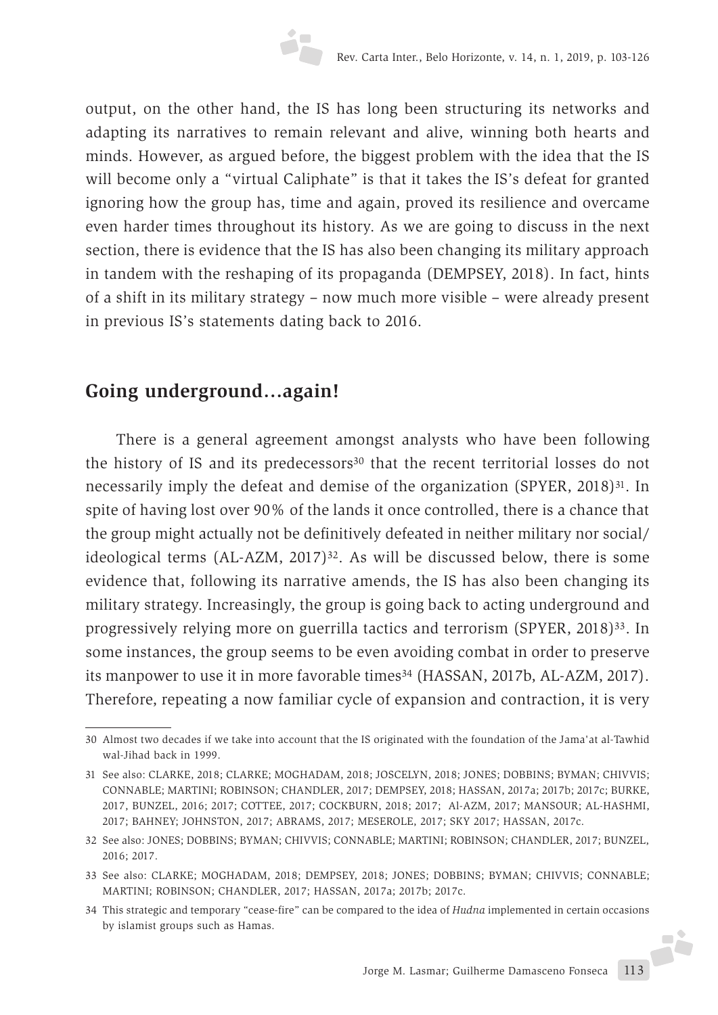output, on the other hand, the IS has long been structuring its networks and adapting its narratives to remain relevant and alive, winning both hearts and minds. However, as argued before, the biggest problem with the idea that the IS will become only a "virtual Caliphate" is that it takes the IS's defeat for granted ignoring how the group has, time and again, proved its resilience and overcame even harder times throughout its history. As we are going to discuss in the next section, there is evidence that the IS has also been changing its military approach in tandem with the reshaping of its propaganda (DEMPSEY, 2018). In fact, hints of a shift in its military strategy – now much more visible – were already present in previous IS's statements dating back to 2016.

# **Going underground…again!**

There is a general agreement amongst analysts who have been following the history of IS and its predecessors<sup>30</sup> that the recent territorial losses do not necessarily imply the defeat and demise of the organization (SPYER, 2018)31. In spite of having lost over 90% of the lands it once controlled, there is a chance that the group might actually not be definitively defeated in neither military nor social/ ideological terms (AL-AZM, 2017)<sup>32</sup>. As will be discussed below, there is some evidence that, following its narrative amends, the IS has also been changing its military strategy. Increasingly, the group is going back to acting underground and progressively relying more on guerrilla tactics and terrorism (SPYER, 2018)33. In some instances, the group seems to be even avoiding combat in order to preserve its manpower to use it in more favorable times<sup>34</sup> (HASSAN, 2017b, AL-AZM, 2017). Therefore, repeating a now familiar cycle of expansion and contraction, it is very

<sup>30</sup> Almost two decades if we take into account that the IS originated with the foundation of the Jama'at al-Tawhid wal-Jihad back in 1999.

<sup>31</sup> See also: CLARKE, 2018; CLARKE; MOGHADAM, 2018; JOSCELYN, 2018; JONES; DOBBINS; BYMAN; CHIVVIS; CONNABLE; MARTINI; ROBINSON; CHANDLER, 2017; DEMPSEY, 2018; HASSAN, 2017a; 2017b; 2017c; BURKE, 2017, BUNZEL, 2016; 2017; COTTEE, 2017; COCKBURN, 2018; 2017; Al-AZM, 2017; MANSOUR; AL-HASHMI, 2017; BAHNEY; JOHNSTON, 2017; ABRAMS, 2017; MESEROLE, 2017; SKY 2017; HASSAN, 2017c.

<sup>32</sup> See also: JONES; DOBBINS; BYMAN; CHIVVIS; CONNABLE; MARTINI; ROBINSON; CHANDLER, 2017; BUNZEL, 2016; 2017.

<sup>33</sup> See also: CLARKE; MOGHADAM, 2018; DEMPSEY, 2018; JONES; DOBBINS; BYMAN; CHIVVIS; CONNABLE; MARTINI; ROBINSON; CHANDLER, 2017; HASSAN, 2017a; 2017b; 2017c.

<sup>34</sup> This strategic and temporary "cease-fire" can be compared to the idea of *Hudna* implemented in certain occasions by islamist groups such as Hamas.J.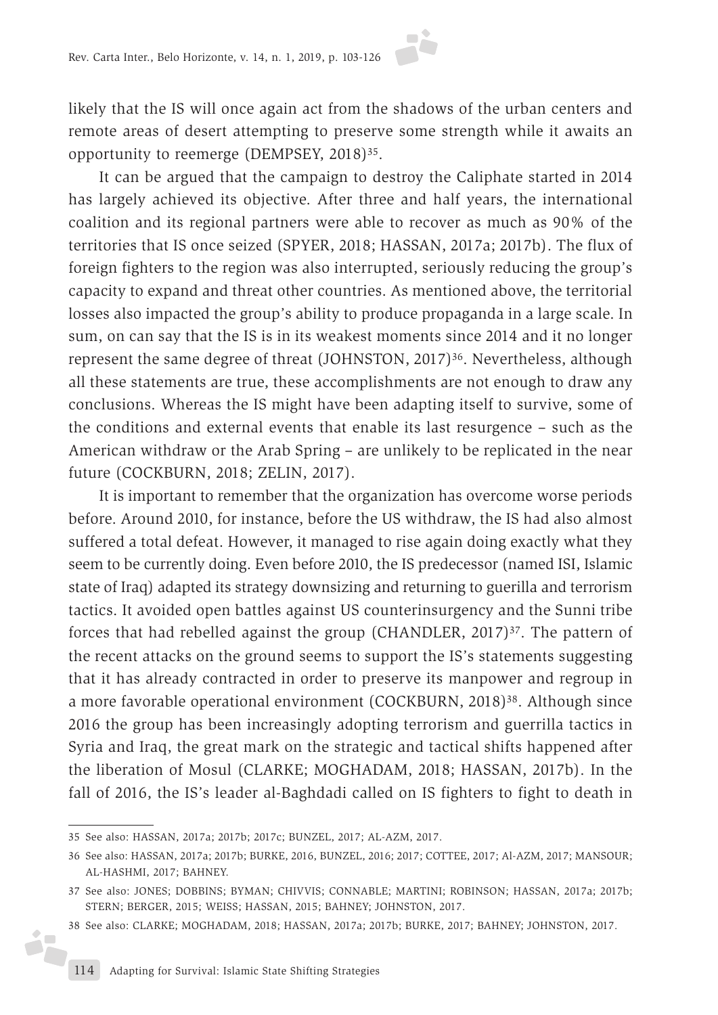likely that the IS will once again act from the shadows of the urban centers and remote areas of desert attempting to preserve some strength while it awaits an opportunity to reemerge (DEMPSEY, 2018)35.

It can be argued that the campaign to destroy the Caliphate started in 2014 has largely achieved its objective. After three and half years, the international coalition and its regional partners were able to recover as much as 90% of the territories that IS once seized (SPYER, 2018; HASSAN, 2017a; 2017b). The flux of foreign fighters to the region was also interrupted, seriously reducing the group's capacity to expand and threat other countries. As mentioned above, the territorial losses also impacted the group's ability to produce propaganda in a large scale. In sum, on can say that the IS is in its weakest moments since 2014 and it no longer represent the same degree of threat (JOHNSTON, 2017)<sup>36</sup>. Nevertheless, although all these statements are true, these accomplishments are not enough to draw any conclusions. Whereas the IS might have been adapting itself to survive, some of the conditions and external events that enable its last resurgence – such as the American withdraw or the Arab Spring – are unlikely to be replicated in the near future (COCKBURN, 2018; ZELIN, 2017).

It is important to remember that the organization has overcome worse periods before. Around 2010, for instance, before the US withdraw, the IS had also almost suffered a total defeat. However, it managed to rise again doing exactly what they seem to be currently doing. Even before 2010, the IS predecessor (named ISI, Islamic state of Iraq) adapted its strategy downsizing and returning to guerilla and terrorism tactics. It avoided open battles against US counterinsurgency and the Sunni tribe forces that had rebelled against the group (CHANDLER, 2017)<sup>37</sup>. The pattern of the recent attacks on the ground seems to support the IS's statements suggesting that it has already contracted in order to preserve its manpower and regroup in a more favorable operational environment (COCKBURN, 2018)38. Although since 2016 the group has been increasingly adopting terrorism and guerrilla tactics in Syria and Iraq, the great mark on the strategic and tactical shifts happened after the liberation of Mosul (CLARKE; MOGHADAM, 2018; HASSAN, 2017b). In the fall of 2016, the IS's leader al-Baghdadi called on IS fighters to fight to death in

<sup>35</sup> See also: HASSAN, 2017a; 2017b; 2017c; BUNZEL, 2017; AL-AZM, 2017.

<sup>36</sup> See also: HASSAN, 2017a; 2017b; BURKE, 2016, BUNZEL, 2016; 2017; COTTEE, 2017; Al-AZM, 2017; MANSOUR; AL-HASHMI, 2017; BAHNEY.

<sup>37</sup> See also: JONES; DOBBINS; BYMAN; CHIVVIS; CONNABLE; MARTINI; ROBINSON; HASSAN, 2017a; 2017b; STERN; BERGER, 2015; WEISS; HASSAN, 2015; BAHNEY; JOHNSTON, 2017.

<sup>38</sup> See also: CLARKE; MOGHADAM, 2018; HASSAN, 2017a; 2017b; BURKE, 2017; BAHNEY; JOHNSTON, 2017.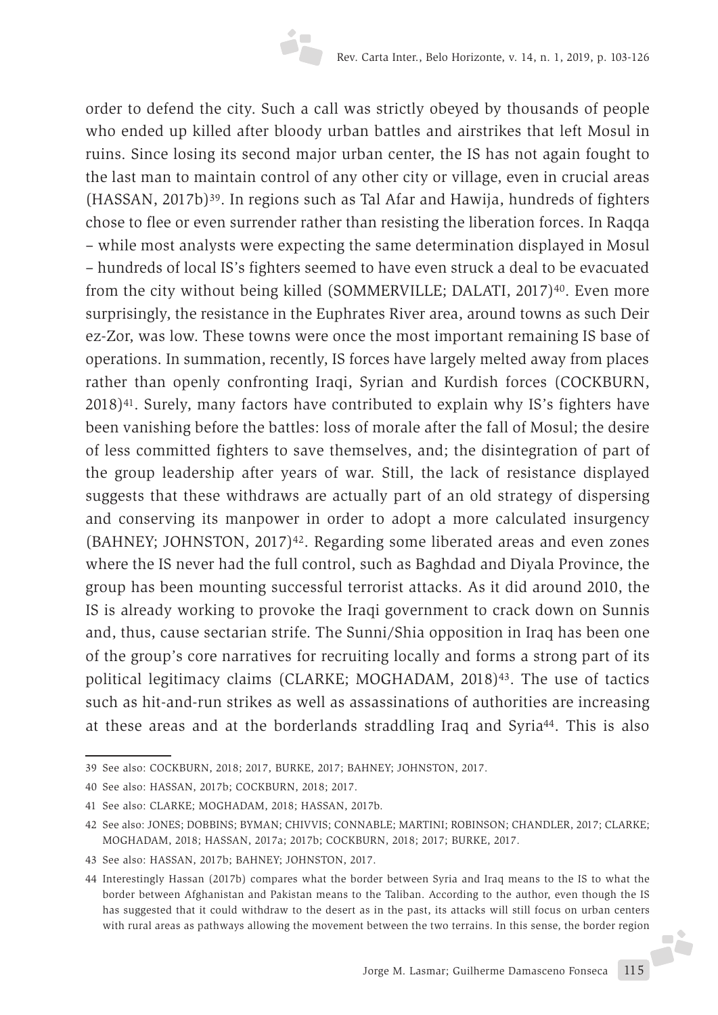order to defend the city. Such a call was strictly obeyed by thousands of people who ended up killed after bloody urban battles and airstrikes that left Mosul in ruins. Since losing its second major urban center, the IS has not again fought to the last man to maintain control of any other city or village, even in crucial areas (HASSAN, 2017b)39. In regions such as Tal Afar and Hawija, hundreds of fighters chose to flee or even surrender rather than resisting the liberation forces. In Raqqa – while most analysts were expecting the same determination displayed in Mosul – hundreds of local IS's fighters seemed to have even struck a deal to be evacuated from the city without being killed (SOMMERVILLE; DALATI, 2017)<sup>40</sup>. Even more surprisingly, the resistance in the Euphrates River area, around towns as such Deir ez-Zor, was low. These towns were once the most important remaining IS base of operations. In summation, recently, IS forces have largely melted away from places rather than openly confronting Iraqi, Syrian and Kurdish forces (COCKBURN, 2018)41. Surely, many factors have contributed to explain why IS's fighters have been vanishing before the battles: loss of morale after the fall of Mosul; the desire of less committed fighters to save themselves, and; the disintegration of part of the group leadership after years of war. Still, the lack of resistance displayed suggests that these withdraws are actually part of an old strategy of dispersing and conserving its manpower in order to adopt a more calculated insurgency (BAHNEY; JOHNSTON, 2017)<sup>42</sup>. Regarding some liberated areas and even zones where the IS never had the full control, such as Baghdad and Diyala Province, the group has been mounting successful terrorist attacks. As it did around 2010, the IS is already working to provoke the Iraqi government to crack down on Sunnis and, thus, cause sectarian strife. The Sunni/Shia opposition in Iraq has been one of the group's core narratives for recruiting locally and forms a strong part of its political legitimacy claims (CLARKE; MOGHADAM, 2018)43. The use of tactics such as hit-and-run strikes as well as assassinations of authorities are increasing at these areas and at the borderlands straddling Iraq and Syria44. This is also

<sup>39</sup> See also: COCKBURN, 2018; 2017, BURKE, 2017; BAHNEY; JOHNSTON, 2017.

<sup>40</sup> See also: HASSAN, 2017b; COCKBURN, 2018; 2017.

<sup>41</sup> See also: CLARKE; MOGHADAM, 2018; HASSAN, 2017b.

<sup>42</sup> See also: JONES; DOBBINS; BYMAN; CHIVVIS; CONNABLE; MARTINI; ROBINSON; CHANDLER, 2017; CLARKE; MOGHADAM, 2018; HASSAN, 2017a; 2017b; COCKBURN, 2018; 2017; BURKE, 2017.

<sup>43</sup> See also: HASSAN, 2017b; BAHNEY; JOHNSTON, 2017.

<sup>44</sup> Interestingly Hassan (2017b) compares what the border between Syria and Iraq means to the IS to what the border between Afghanistan and Pakistan means to the Taliban. According to the author, even though the IS has suggested that it could withdraw to the desert as in the past, its attacks will still focus on urban centers with rural areas as pathways allowing the movement between the two terrains. In this sense, the border region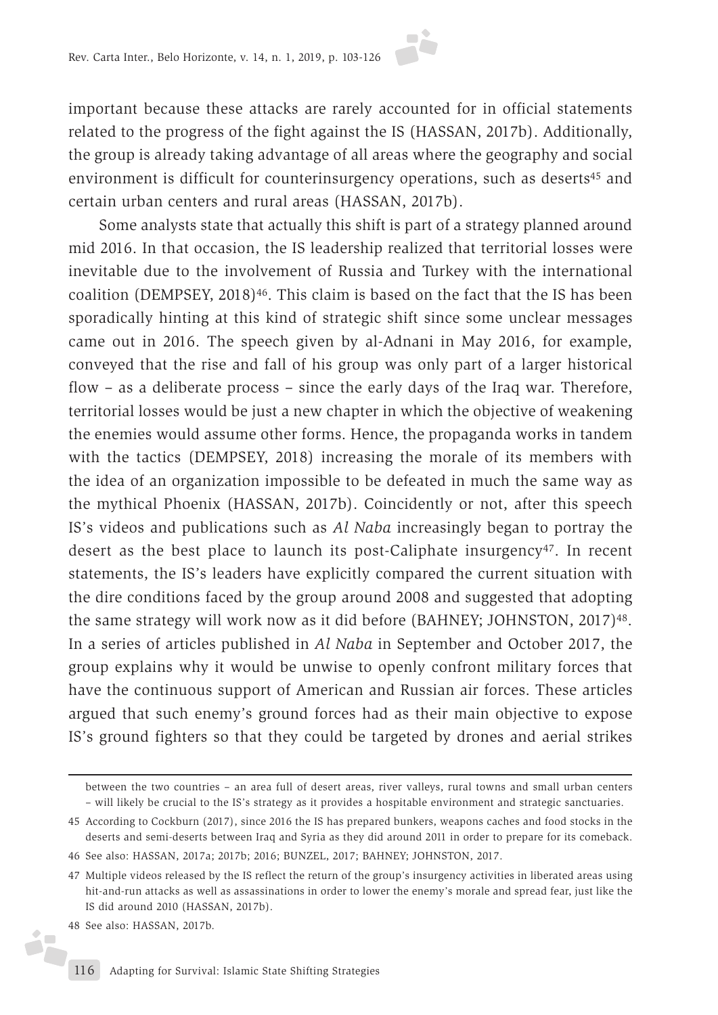important because these attacks are rarely accounted for in official statements related to the progress of the fight against the IS (HASSAN, 2017b). Additionally, the group is already taking advantage of all areas where the geography and social environment is difficult for counterinsurgency operations, such as deserts<sup>45</sup> and certain urban centers and rural areas (HASSAN, 2017b).

Some analysts state that actually this shift is part of a strategy planned around mid 2016. In that occasion, the IS leadership realized that territorial losses were inevitable due to the involvement of Russia and Turkey with the international coalition (DEMPSEY, 2018)<sup>46</sup>. This claim is based on the fact that the IS has been sporadically hinting at this kind of strategic shift since some unclear messages came out in 2016. The speech given by al-Adnani in May 2016, for example, conveyed that the rise and fall of his group was only part of a larger historical flow – as a deliberate process – since the early days of the Iraq war. Therefore, territorial losses would be just a new chapter in which the objective of weakening the enemies would assume other forms. Hence, the propaganda works in tandem with the tactics (DEMPSEY, 2018) increasing the morale of its members with the idea of an organization impossible to be defeated in much the same way as the mythical Phoenix (HASSAN, 2017b). Coincidently or not, after this speech IS's videos and publications such as *Al Naba* increasingly began to portray the desert as the best place to launch its post-Caliphate insurgency<sup>47</sup>. In recent statements, the IS's leaders have explicitly compared the current situation with the dire conditions faced by the group around 2008 and suggested that adopting the same strategy will work now as it did before (BAHNEY; JOHNSTON, 2017)48. In a series of articles published in *Al Naba* in September and October 2017, the group explains why it would be unwise to openly confront military forces that have the continuous support of American and Russian air forces. These articles argued that such enemy's ground forces had as their main objective to expose IS's ground fighters so that they could be targeted by drones and aerial strikes

ó

between the two countries – an area full of desert areas, river valleys, rural towns and small urban centers – will likely be crucial to the IS's strategy as it provides a hospitable environment and strategic sanctuaries.

<sup>45</sup> According to Cockburn (2017), since 2016 the IS has prepared bunkers, weapons caches and food stocks in the deserts and semi-deserts between Iraq and Syria as they did around 2011 in order to prepare for its comeback.

<sup>46</sup> See also: HASSAN, 2017a; 2017b; 2016; BUNZEL, 2017; BAHNEY; JOHNSTON, 2017.

<sup>47</sup> Multiple videos released by the IS reflect the return of the group's insurgency activities in liberated areas using hit-and-run attacks as well as assassinations in order to lower the enemy's morale and spread fear, just like the IS did around 2010 (HASSAN, 2017b).

<sup>48</sup> See also: HASSAN, 2017b.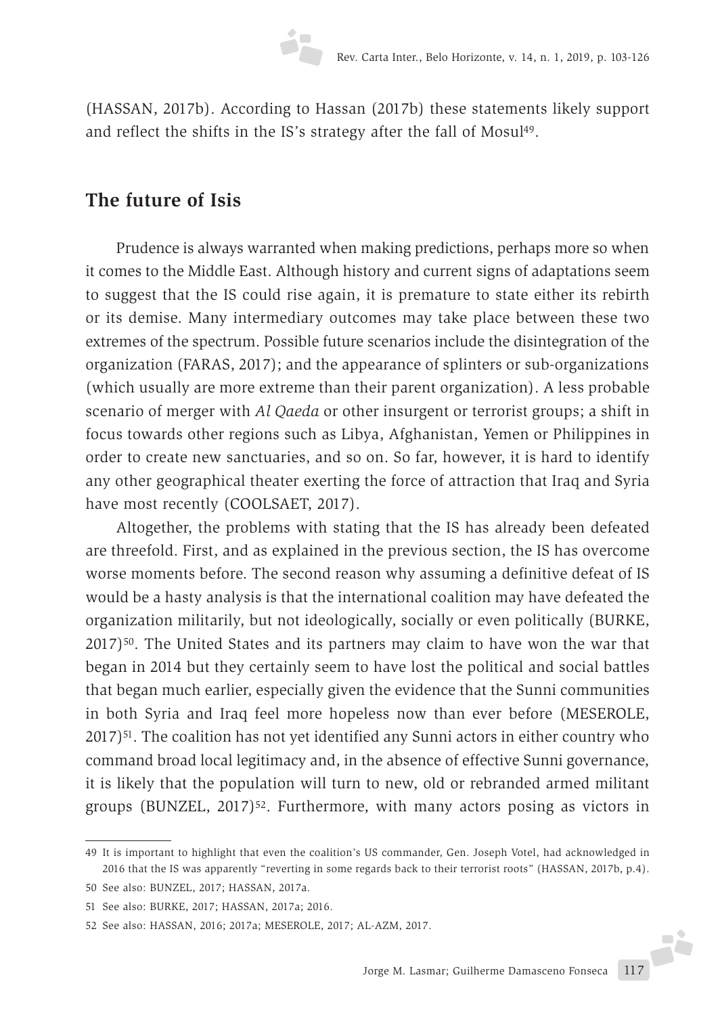(HASSAN, 2017b). According to Hassan (2017b) these statements likely support and reflect the shifts in the IS's strategy after the fall of Mosul<sup>49</sup>.

### **The future of Isis**

Prudence is always warranted when making predictions, perhaps more so when it comes to the Middle East. Although history and current signs of adaptations seem to suggest that the IS could rise again, it is premature to state either its rebirth or its demise. Many intermediary outcomes may take place between these two extremes of the spectrum. Possible future scenarios include the disintegration of the organization (FARAS, 2017); and the appearance of splinters or sub-organizations (which usually are more extreme than their parent organization). A less probable scenario of merger with *Al Qaeda* or other insurgent or terrorist groups; a shift in focus towards other regions such as Libya, Afghanistan, Yemen or Philippines in order to create new sanctuaries, and so on. So far, however, it is hard to identify any other geographical theater exerting the force of attraction that Iraq and Syria have most recently (COOLSAET, 2017).

Altogether, the problems with stating that the IS has already been defeated are threefold. First, and as explained in the previous section, the IS has overcome worse moments before. The second reason why assuming a definitive defeat of IS would be a hasty analysis is that the international coalition may have defeated the organization militarily, but not ideologically, socially or even politically (BURKE, 2017)50. The United States and its partners may claim to have won the war that began in 2014 but they certainly seem to have lost the political and social battles that began much earlier, especially given the evidence that the Sunni communities in both Syria and Iraq feel more hopeless now than ever before (MESEROLE, 2017)51. The coalition has not yet identified any Sunni actors in either country who command broad local legitimacy and, in the absence of effective Sunni governance, it is likely that the population will turn to new, old or rebranded armed militant groups (BUNZEL, 2017)<sup>52</sup>. Furthermore, with many actors posing as victors in

<sup>49</sup> It is important to highlight that even the coalition's US commander, Gen. Joseph Votel, had acknowledged in 2016 that the IS was apparently "reverting in some regards back to their terrorist roots" (HASSAN, 2017b, p.4).

<sup>50</sup> See also: BUNZEL, 2017; HASSAN, 2017a.

<sup>51</sup> See also: BURKE, 2017; HASSAN, 2017a; 2016.

<sup>52</sup> See also: HASSAN, 2016; 2017a; MESEROLE, 2017; AL-AZM, 2017.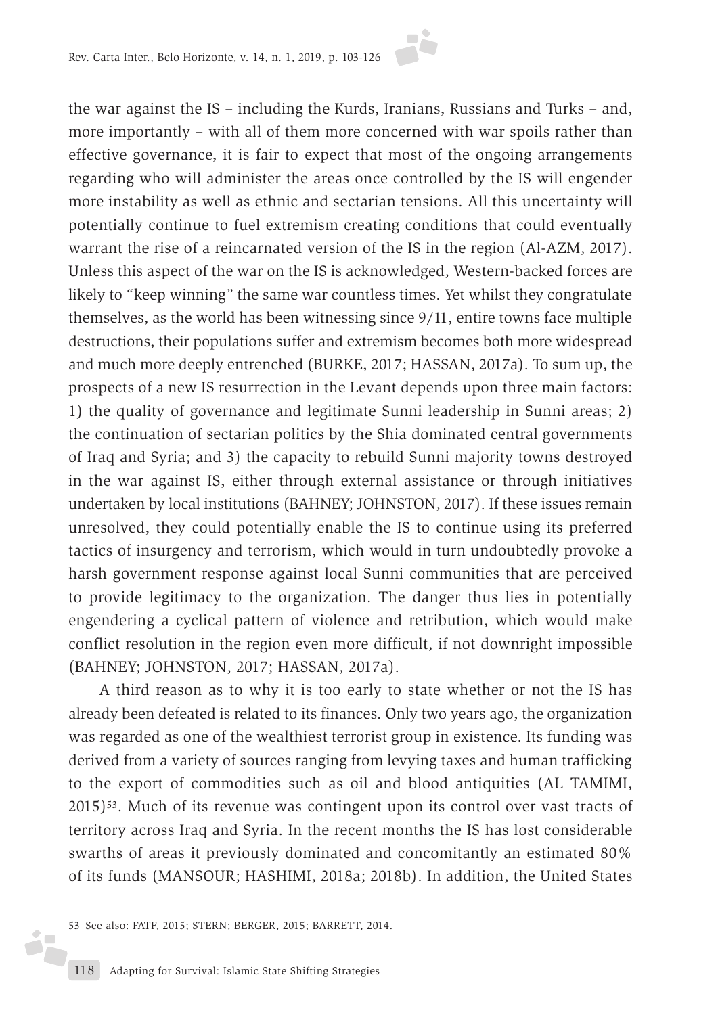the war against the IS – including the Kurds, Iranians, Russians and Turks – and, more importantly – with all of them more concerned with war spoils rather than effective governance, it is fair to expect that most of the ongoing arrangements regarding who will administer the areas once controlled by the IS will engender more instability as well as ethnic and sectarian tensions. All this uncertainty will potentially continue to fuel extremism creating conditions that could eventually warrant the rise of a reincarnated version of the IS in the region (Al-AZM, 2017). Unless this aspect of the war on the IS is acknowledged, Western-backed forces are likely to "keep winning" the same war countless times. Yet whilst they congratulate themselves, as the world has been witnessing since 9/11, entire towns face multiple destructions, their populations suffer and extremism becomes both more widespread and much more deeply entrenched (BURKE, 2017; HASSAN, 2017a). To sum up, the prospects of a new IS resurrection in the Levant depends upon three main factors: 1) the quality of governance and legitimate Sunni leadership in Sunni areas; 2) the continuation of sectarian politics by the Shia dominated central governments of Iraq and Syria; and 3) the capacity to rebuild Sunni majority towns destroyed in the war against IS, either through external assistance or through initiatives undertaken by local institutions (BAHNEY; JOHNSTON, 2017). If these issues remain unresolved, they could potentially enable the IS to continue using its preferred tactics of insurgency and terrorism, which would in turn undoubtedly provoke a harsh government response against local Sunni communities that are perceived to provide legitimacy to the organization. The danger thus lies in potentially engendering a cyclical pattern of violence and retribution, which would make conflict resolution in the region even more difficult, if not downright impossible (BAHNEY; JOHNSTON, 2017; HASSAN, 2017a).

A third reason as to why it is too early to state whether or not the IS has already been defeated is related to its finances. Only two years ago, the organization was regarded as one of the wealthiest terrorist group in existence. Its funding was derived from a variety of sources ranging from levying taxes and human trafficking to the export of commodities such as oil and blood antiquities (AL TAMIMI, 2015)53. Much of its revenue was contingent upon its control over vast tracts of territory across Iraq and Syria. In the recent months the IS has lost considerable swarths of areas it previously dominated and concomitantly an estimated 80% of its funds (MANSOUR; HASHIMI, 2018a; 2018b). In addition, the United States

ó,

<sup>53</sup> See also: FATF, 2015; STERN; BERGER, 2015; BARRETT, 2014.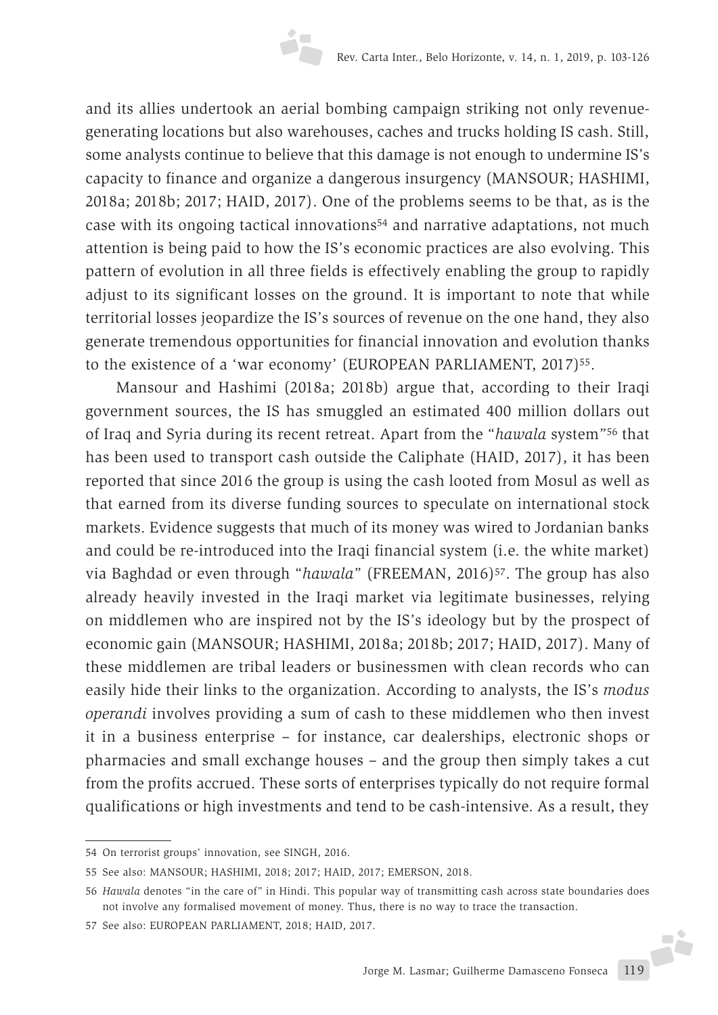and its allies undertook an aerial bombing campaign striking not only revenuegenerating locations but also warehouses, caches and trucks holding IS cash. Still, some analysts continue to believe that this damage is not enough to undermine IS's capacity to finance and organize a dangerous insurgency (MANSOUR; HASHIMI, 2018a; 2018b; 2017; HAID, 2017). One of the problems seems to be that, as is the case with its ongoing tactical innovations54 and narrative adaptations, not much attention is being paid to how the IS's economic practices are also evolving. This pattern of evolution in all three fields is effectively enabling the group to rapidly adjust to its significant losses on the ground. It is important to note that while territorial losses jeopardize the IS's sources of revenue on the one hand, they also generate tremendous opportunities for financial innovation and evolution thanks to the existence of a 'war economy' (EUROPEAN PARLIAMENT, 2017)<sup>55</sup>.

Mansour and Hashimi (2018a; 2018b) argue that, according to their Iraqi government sources, the IS has smuggled an estimated 400 million dollars out of Iraq and Syria during its recent retreat. Apart from the "*hawala* system"56 that has been used to transport cash outside the Caliphate (HAID, 2017), it has been reported that since 2016 the group is using the cash looted from Mosul as well as that earned from its diverse funding sources to speculate on international stock markets. Evidence suggests that much of its money was wired to Jordanian banks and could be re-introduced into the Iraqi financial system (i.e. the white market) via Baghdad or even through "*hawala*" (FREEMAN, 2016)57. The group has also already heavily invested in the Iraqi market via legitimate businesses, relying on middlemen who are inspired not by the IS's ideology but by the prospect of economic gain (MANSOUR; HASHIMI, 2018a; 2018b; 2017; HAID, 2017). Many of these middlemen are tribal leaders or businessmen with clean records who can easily hide their links to the organization. According to analysts, the IS's *modus operandi* involves providing a sum of cash to these middlemen who then invest it in a business enterprise – for instance, car dealerships, electronic shops or pharmacies and small exchange houses – and the group then simply takes a cut from the profits accrued. These sorts of enterprises typically do not require formal qualifications or high investments and tend to be cash-intensive. As a result, they

<sup>54</sup> On terrorist groups' innovation, see SINGH, 2016.

<sup>55</sup> See also: MANSOUR; HASHIMI, 2018; 2017; HAID, 2017; EMERSON, 2018.

<sup>56</sup> *Hawala* denotes "in the care of" in Hindi. This popular way of transmitting cash across state boundaries does not involve any formalised movement of money. Thus, there is no way to trace the transaction.

<sup>57</sup> See also: EUROPEAN PARLIAMENT, 2018; HAID, 2017.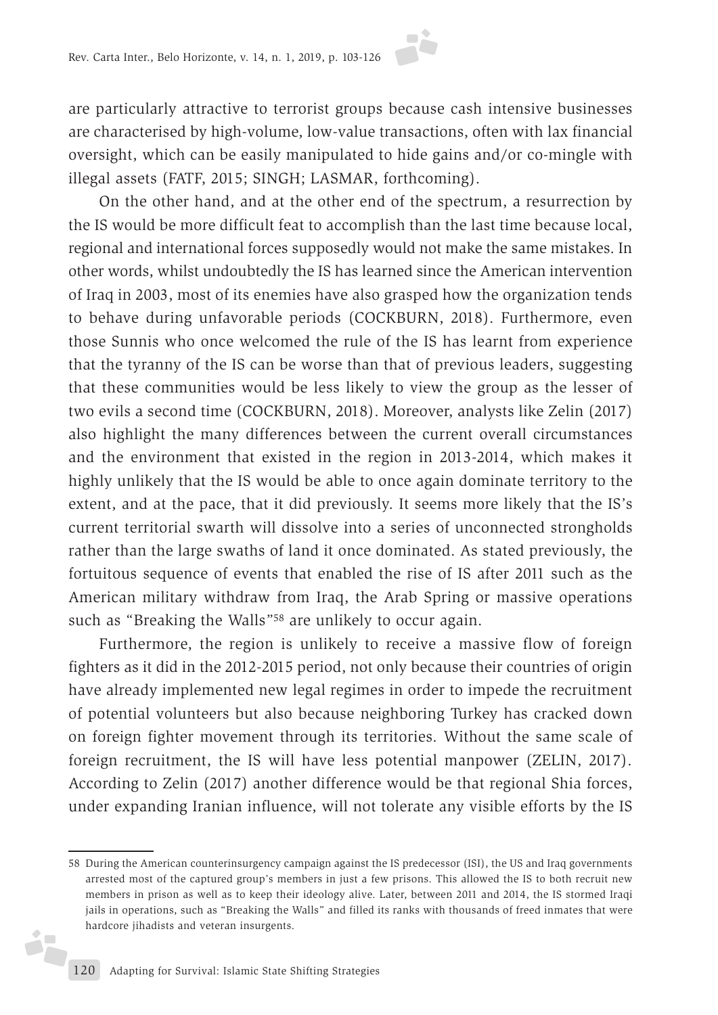are particularly attractive to terrorist groups because cash intensive businesses are characterised by high-volume, low-value transactions, often with lax financial oversight, which can be easily manipulated to hide gains and/or co-mingle with illegal assets (FATF, 2015; SINGH; LASMAR, forthcoming).

On the other hand, and at the other end of the spectrum, a resurrection by the IS would be more difficult feat to accomplish than the last time because local, regional and international forces supposedly would not make the same mistakes. In other words, whilst undoubtedly the IS has learned since the American intervention of Iraq in 2003, most of its enemies have also grasped how the organization tends to behave during unfavorable periods (COCKBURN, 2018). Furthermore, even those Sunnis who once welcomed the rule of the IS has learnt from experience that the tyranny of the IS can be worse than that of previous leaders, suggesting that these communities would be less likely to view the group as the lesser of two evils a second time (COCKBURN, 2018). Moreover, analysts like Zelin (2017) also highlight the many differences between the current overall circumstances and the environment that existed in the region in 2013-2014, which makes it highly unlikely that the IS would be able to once again dominate territory to the extent, and at the pace, that it did previously. It seems more likely that the IS's current territorial swarth will dissolve into a series of unconnected strongholds rather than the large swaths of land it once dominated. As stated previously, the fortuitous sequence of events that enabled the rise of IS after 2011 such as the American military withdraw from Iraq, the Arab Spring or massive operations such as "Breaking the Walls"<sup>58</sup> are unlikely to occur again.

Furthermore, the region is unlikely to receive a massive flow of foreign fighters as it did in the 2012-2015 period, not only because their countries of origin have already implemented new legal regimes in order to impede the recruitment of potential volunteers but also because neighboring Turkey has cracked down on foreign fighter movement through its territories. Without the same scale of foreign recruitment, the IS will have less potential manpower (ZELIN, 2017). According to Zelin (2017) another difference would be that regional Shia forces, under expanding Iranian influence, will not tolerate any visible efforts by the IS

i,

<sup>58</sup> During the American counterinsurgency campaign against the IS predecessor (ISI), the US and Iraq governments arrested most of the captured group's members in just a few prisons. This allowed the IS to both recruit new members in prison as well as to keep their ideology alive. Later, between 2011 and 2014, the IS stormed Iraqi jails in operations, such as "Breaking the Walls" and filled its ranks with thousands of freed inmates that were hardcore jihadists and veteran insurgents.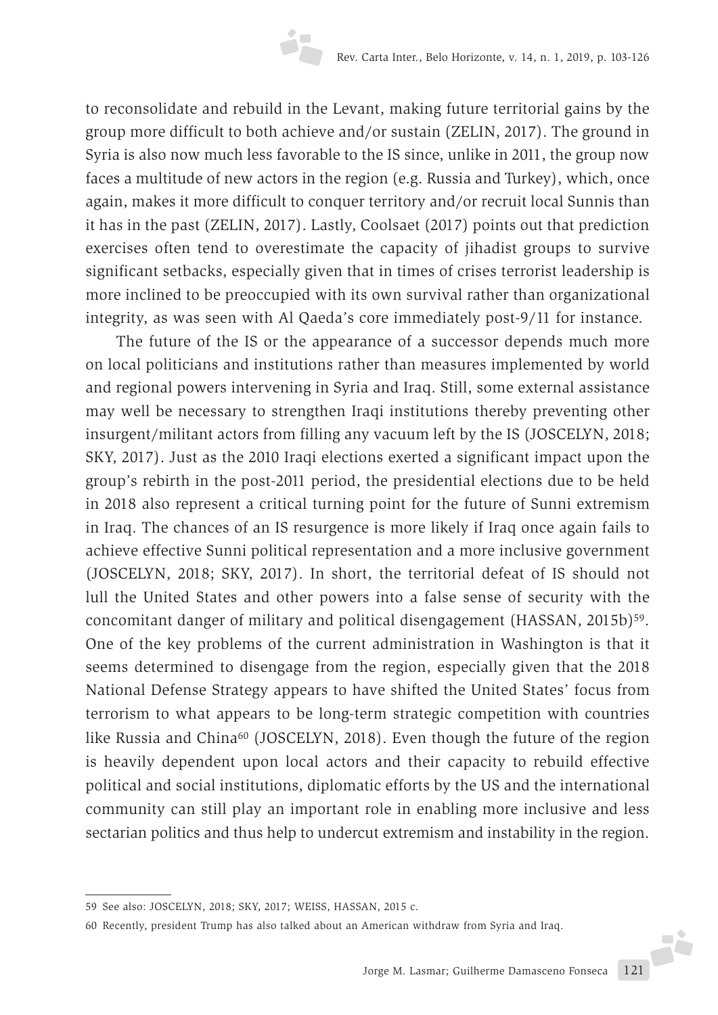to reconsolidate and rebuild in the Levant, making future territorial gains by the group more difficult to both achieve and/or sustain (ZELIN, 2017). The ground in Syria is also now much less favorable to the IS since, unlike in 2011, the group now faces a multitude of new actors in the region (e.g. Russia and Turkey), which, once again, makes it more difficult to conquer territory and/or recruit local Sunnis than it has in the past (ZELIN, 2017). Lastly, Coolsaet (2017) points out that prediction exercises often tend to overestimate the capacity of jihadist groups to survive significant setbacks, especially given that in times of crises terrorist leadership is more inclined to be preoccupied with its own survival rather than organizational integrity, as was seen with Al Qaeda's core immediately post-9/11 for instance.

The future of the IS or the appearance of a successor depends much more on local politicians and institutions rather than measures implemented by world and regional powers intervening in Syria and Iraq. Still, some external assistance may well be necessary to strengthen Iraqi institutions thereby preventing other insurgent/militant actors from filling any vacuum left by the IS (JOSCELYN, 2018; SKY, 2017). Just as the 2010 Iraqi elections exerted a significant impact upon the group's rebirth in the post-2011 period, the presidential elections due to be held in 2018 also represent a critical turning point for the future of Sunni extremism in Iraq. The chances of an IS resurgence is more likely if Iraq once again fails to achieve effective Sunni political representation and a more inclusive government (JOSCELYN, 2018; SKY, 2017). In short, the territorial defeat of IS should not lull the United States and other powers into a false sense of security with the concomitant danger of military and political disengagement (HASSAN, 2015b)<sup>59</sup>. One of the key problems of the current administration in Washington is that it seems determined to disengage from the region, especially given that the 2018 National Defense Strategy appears to have shifted the United States' focus from terrorism to what appears to be long-term strategic competition with countries like Russia and China<sup>60</sup> (JOSCELYN, 2018). Even though the future of the region is heavily dependent upon local actors and their capacity to rebuild effective political and social institutions, diplomatic efforts by the US and the international community can still play an important role in enabling more inclusive and less sectarian politics and thus help to undercut extremism and instability in the region.

<sup>59</sup> See also: JOSCELYN, 2018; SKY, 2017; WEISS, HASSAN, 2015 c.

<sup>60</sup> Recently, president Trump has also talked about an American withdraw from Syria and Iraq.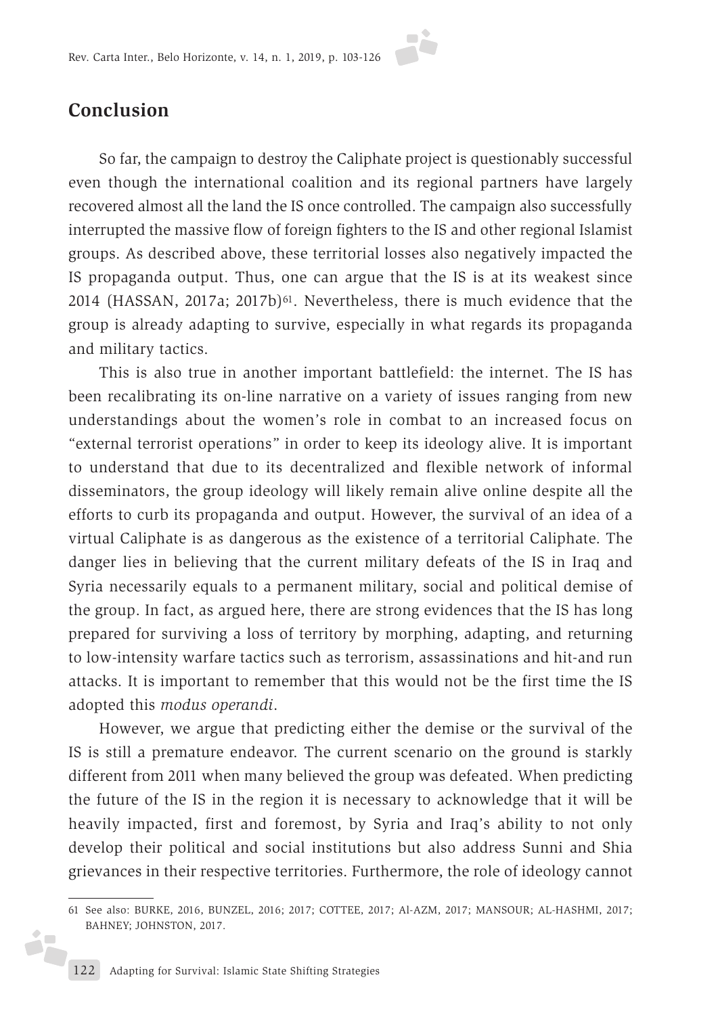

So far, the campaign to destroy the Caliphate project is questionably successful even though the international coalition and its regional partners have largely recovered almost all the land the IS once controlled. The campaign also successfully interrupted the massive flow of foreign fighters to the IS and other regional Islamist groups. As described above, these territorial losses also negatively impacted the IS propaganda output. Thus, one can argue that the IS is at its weakest since 2014 (HASSAN, 2017a; 2017b)<sup>61</sup>. Nevertheless, there is much evidence that the group is already adapting to survive, especially in what regards its propaganda and military tactics.

This is also true in another important battlefield: the internet. The IS has been recalibrating its on-line narrative on a variety of issues ranging from new understandings about the women's role in combat to an increased focus on "external terrorist operations" in order to keep its ideology alive. It is important to understand that due to its decentralized and flexible network of informal disseminators, the group ideology will likely remain alive online despite all the efforts to curb its propaganda and output. However, the survival of an idea of a virtual Caliphate is as dangerous as the existence of a territorial Caliphate. The danger lies in believing that the current military defeats of the IS in Iraq and Syria necessarily equals to a permanent military, social and political demise of the group. In fact, as argued here, there are strong evidences that the IS has long prepared for surviving a loss of territory by morphing, adapting, and returning to low-intensity warfare tactics such as terrorism, assassinations and hit-and run attacks. It is important to remember that this would not be the first time the IS adopted this *modus operandi*.

However, we argue that predicting either the demise or the survival of the IS is still a premature endeavor. The current scenario on the ground is starkly different from 2011 when many believed the group was defeated. When predicting the future of the IS in the region it is necessary to acknowledge that it will be heavily impacted, first and foremost, by Syria and Iraq's ability to not only develop their political and social institutions but also address Sunni and Shia grievances in their respective territories. Furthermore, the role of ideology cannot

i7

<sup>61</sup> See also: BURKE, 2016, BUNZEL, 2016; 2017; COTTEE, 2017; Al-AZM, 2017; MANSOUR; AL-HASHMI, 2017; BAHNEY; JOHNSTON, 2017.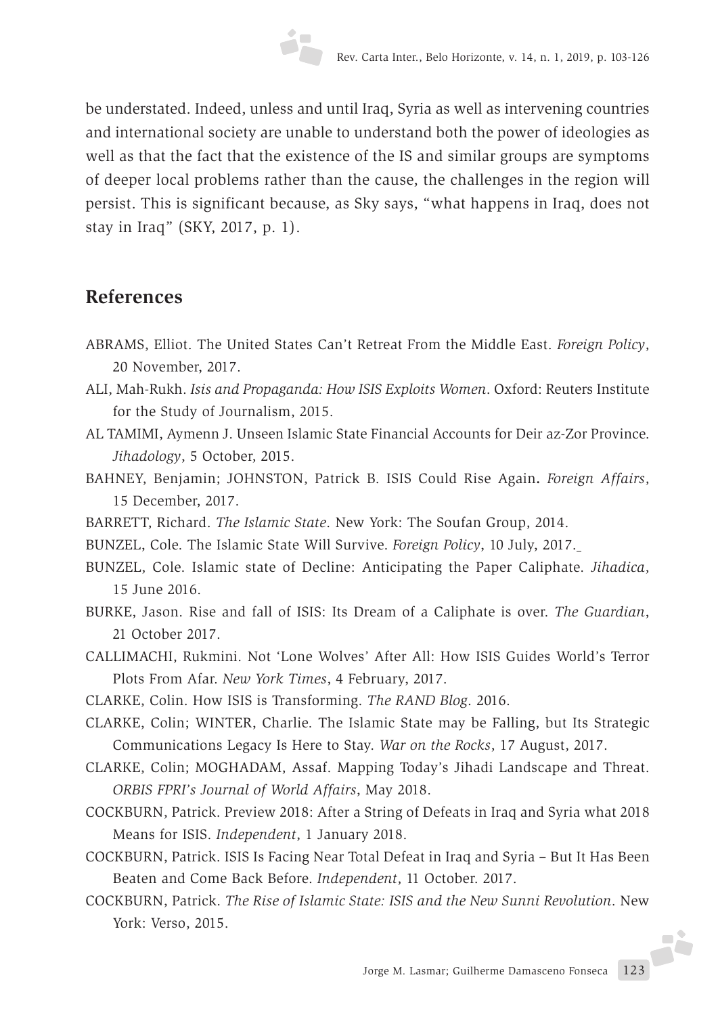be understated. Indeed, unless and until Iraq, Syria as well as intervening countries and international society are unable to understand both the power of ideologies as well as that the fact that the existence of the IS and similar groups are symptoms of deeper local problems rather than the cause, the challenges in the region will persist. This is significant because, as Sky says, "what happens in Iraq, does not stay in Iraq" (SKY, 2017, p. 1).

## **References**

- ABRAMS, Elliot. The United States Can't Retreat From the Middle East. *Foreign Policy*, 20 November, 2017.
- ALI, Mah-Rukh. *Isis and Propaganda: How ISIS Exploits Women*. Oxford: Reuters Institute for the Study of Journalism, 2015.
- AL TAMIMI, Aymenn J. Unseen Islamic State Financial Accounts for Deir az-Zor Province. *Jihadology*, 5 October, 2015.
- BAHNEY, Benjamin; JOHNSTON, Patrick B. ISIS Could Rise Again**.** *Foreign Affairs*, 15 December, 2017.
- BARRETT, Richard. *The Islamic State*. New York: The Soufan Group, 2014.
- BUNZEL, Cole. The Islamic State Will Survive. *Foreign Policy*, 10 July, 2017.
- BUNZEL, Cole. Islamic state of Decline: Anticipating the Paper Caliphate. *Jihadica*, 15 June 2016.
- BURKE, Jason. Rise and fall of ISIS: Its Dream of a Caliphate is over. *The Guardian*, 21 October 2017.
- CALLIMACHI, Rukmini. Not 'Lone Wolves' After All: How ISIS Guides World's Terror Plots From Afar. *New York Times*, 4 February, 2017.
- CLARKE, Colin. How ISIS is Transforming. *The RAND Blog*. 2016.
- CLARKE, Colin; WINTER, Charlie. The Islamic State may be Falling, but Its Strategic Communications Legacy Is Here to Stay. *War on the Rocks*, 17 August, 2017.
- CLARKE, Colin; MOGHADAM, Assaf. Mapping Today's Jihadi Landscape and Threat. *ORBIS FPRI's Journal of World Affairs*, May 2018.
- COCKBURN, Patrick. Preview 2018: After a String of Defeats in Iraq and Syria what 2018 Means for ISIS. *Independent*, 1 January 2018.
- COCKBURN, Patrick. ISIS Is Facing Near Total Defeat in Iraq and Syria But It Has Been Beaten and Come Back Before. *Independent*, 11 October. 2017.
- COCKBURN, Patrick. *The Rise of Islamic State: ISIS and the New Sunni Revolution*. New York: Verso, 2015.

Jorge M. Lasmar; Guilherme Damasceno Fonseca 123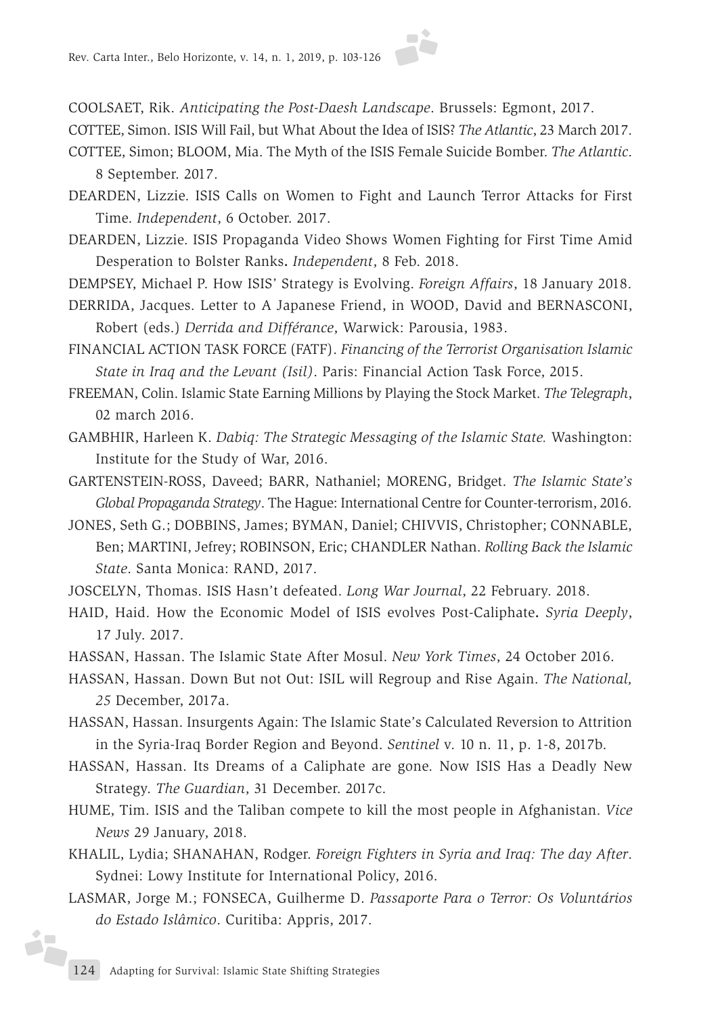COOLSAET, Rik. *Anticipating the Post-Daesh Landscape*. Brussels: Egmont, 2017.

COTTEE, Simon. ISIS Will Fail, but What About the Idea of ISIS? *The Atlantic*, 23 March 2017.

- COTTEE, Simon; BLOOM, Mia. The Myth of the ISIS Female Suicide Bomber. *The Atlantic*. 8 September. 2017.
- DEARDEN, Lizzie. ISIS Calls on Women to Fight and Launch Terror Attacks for First Time. *Independent*, 6 October. 2017.
- DEARDEN, Lizzie. ISIS Propaganda Video Shows Women Fighting for First Time Amid Desperation to Bolster Ranks**.** *Independent*, 8 Feb. 2018.
- DEMPSEY, Michael P. How ISIS' Strategy is Evolving. *Foreign Affairs*, 18 January 2018.
- DERRIDA, Jacques. Letter to A Japanese Friend, in WOOD, David and BERNASCONI, Robert (eds.) *Derrida and Différance*, Warwick: Parousia, 1983.
- FINANCIAL ACTION TASK FORCE (FATF). *Financing of the Terrorist Organisation Islamic State in Iraq and the Levant (Isil)*. Paris: Financial Action Task Force, 2015.

FREEMAN, Colin. Islamic State Earning Millions by Playing the Stock Market. *The Telegraph*, 02 march 2016.

- GAMBHIR, Harleen K. *Dabiq: The Strategic Messaging of the Islamic State.* Washington: Institute for the Study of War, 2016.
- GARTENSTEIN-ROSS, Daveed; BARR, Nathaniel; MORENG, Bridget. *The Islamic State's Global Propaganda Strategy*. The Hague: International Centre for Counter-terrorism, 2016.
- JONES, Seth G.; DOBBINS, James; BYMAN, Daniel; CHIVVIS, Christopher; CONNABLE, Ben; MARTINI, Jefrey; ROBINSON, Eric; CHANDLER Nathan. *Rolling Back the Islamic State*. Santa Monica: RAND, 2017.
- JOSCELYN, Thomas. ISIS Hasn't defeated. *Long War Journal*, 22 February. 2018.
- HAID, Haid. How the Economic Model of ISIS evolves Post-Caliphate**.** *Syria Deeply*, 17 July. 2017.
- HASSAN, Hassan. The Islamic State After Mosul. *New York Times*, 24 October 2016.
- HASSAN, Hassan. Down But not Out: ISIL will Regroup and Rise Again. *The National, 25* December, 2017a.
- HASSAN, Hassan. Insurgents Again: The Islamic State's Calculated Reversion to Attrition in the Syria-Iraq Border Region and Beyond. *Sentinel* v. 10 n. 11, p. 1-8, 2017b.
- HASSAN, Hassan. Its Dreams of a Caliphate are gone. Now ISIS Has a Deadly New Strategy. *The Guardian*, 31 December. 2017c.
- HUME, Tim. ISIS and the Taliban compete to kill the most people in Afghanistan. *Vice News* 29 January, 2018.
- KHALIL, Lydia; SHANAHAN, Rodger. *Foreign Fighters in Syria and Iraq: The day After*. Sydnei: Lowy Institute for International Policy, 2016.
- LASMAR, Jorge M.; FONSECA, Guilherme D. *Passaporte Para o Terror: Os Voluntários do Estado Islâmico*. Curitiba: Appris, 2017.

é,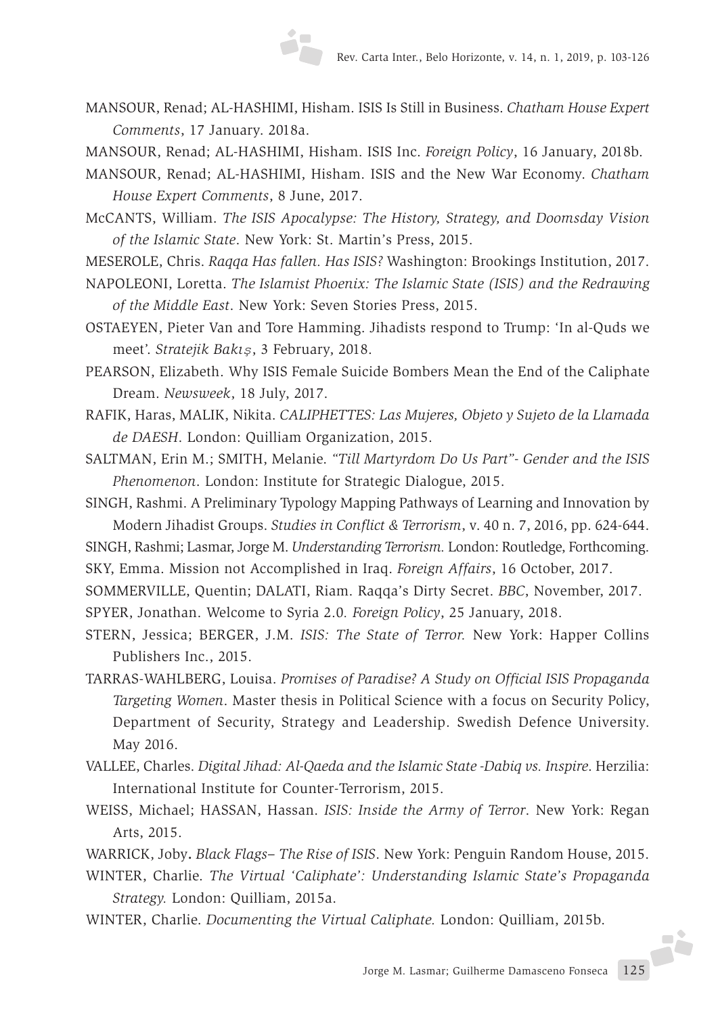- MANSOUR, Renad; AL-HASHIMI, Hisham. ISIS Is Still in Business. *Chatham House Expert Comments*, 17 January. 2018a.
- MANSOUR, Renad; AL-HASHIMI, Hisham. ISIS Inc. *Foreign Policy*, 16 January, 2018b.

MANSOUR, Renad; AL-HASHIMI, Hisham. ISIS and the New War Economy. *Chatham House Expert Comments*, 8 June, 2017.

McCANTS, William. *The ISIS Apocalypse: The History, Strategy, and Doomsday Vision of the Islamic State*. New York: St. Martin's Press, 2015.

MESEROLE, Chris. *Raqqa Has fallen. Has ISIS?* Washington: Brookings Institution, 2017.

NAPOLEONI, Loretta. *The Islamist Phoenix: The Islamic State (ISIS) and the Redrawing of the Middle East*. New York: Seven Stories Press, 2015.

OSTAEYEN, Pieter Van and Tore Hamming. Jihadists respond to Trump: 'In al-Quds we meet'. *Stratejik Bakış*, 3 February, 2018.

PEARSON, Elizabeth. Why ISIS Female Suicide Bombers Mean the End of the Caliphate Dream. *Newsweek*, 18 July, 2017.

RAFIK, Haras, MALIK, Nikita. *CALIPHETTES: Las Mujeres, Objeto y Sujeto de la Llamada de DAESH*. London: Quilliam Organization, 2015.

SALTMAN, Erin M.; SMITH, Melanie. *"Till Martyrdom Do Us Part"- Gender and the ISIS Phenomenon*. London: Institute for Strategic Dialogue, 2015.

SINGH, Rashmi. A Preliminary Typology Mapping Pathways of Learning and Innovation by Modern Jihadist Groups. *Studies in Conflict & Terrorism*, v. 40 n. 7, 2016, pp. 624-644. SINGH, Rashmi; Lasmar, Jorge M. *Understanding Terrorism.* London: Routledge, Forthcoming.

SKY, Emma. Mission not Accomplished in Iraq. *Foreign Affairs*, 16 October, 2017.

SOMMERVILLE, Quentin; DALATI, Riam. Raqqa's Dirty Secret. *BBC*, November, 2017. SPYER, Jonathan. Welcome to Syria 2.0*. Foreign Policy*, 25 January, 2018.

- STERN, Jessica; BERGER, J.M. *ISIS: The State of Terror.* New York: Happer Collins Publishers Inc., 2015.
- TARRAS-WAHLBERG, Louisa. *Promises of Paradise? A Study on Official ISIS Propaganda Targeting Women*. Master thesis in Political Science with a focus on Security Policy, Department of Security, Strategy and Leadership. Swedish Defence University. May 2016.
- VALLEE, Charles. *Digital Jihad: Al-Qaeda and the Islamic State -Dabiq vs. Inspire*. Herzilia: International Institute for Counter-Terrorism, 2015.
- WEISS, Michael; HASSAN, Hassan. *ISIS: Inside the Army of Terror*. New York: Regan Arts, 2015.

WARRICK, Joby**.** *Black Flags– The Rise of ISIS*. New York: Penguin Random House, 2015.

- WINTER, Charlie. *The Virtual 'Caliphate': Understanding Islamic State's Propaganda Strategy.* London: Quilliam, 2015a.
- WINTER, Charlie. *Documenting the Virtual Caliphate.* London: Quilliam, 2015b.